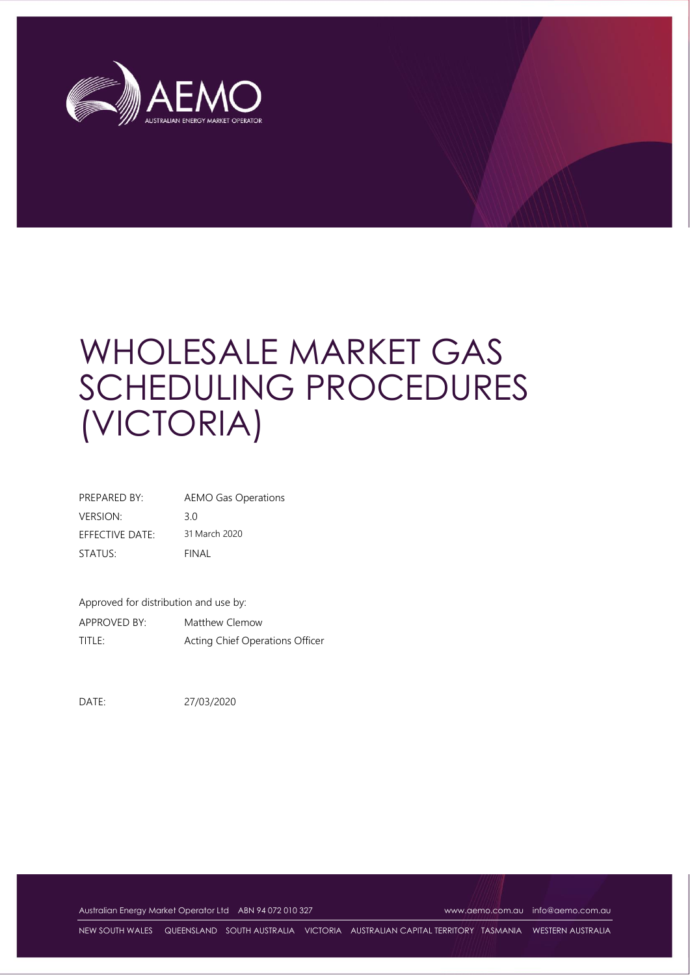

| PREPARED BY:    | <b>AEMO Gas Operations</b> |
|-----------------|----------------------------|
| <b>VERSION:</b> | 30                         |
| EFFECTIVE DATE: | 31 March 2020              |
| STATUS:         | FINAL                      |

Approved for distribution and use by:

APPROVED BY: Matthew Clemow TITLE: Acting Chief Operations Officer

DATE: 27/03/2020

Australian Energy Market Operator Ltd ABN 94 072 010 327 [www.aemo.com.au](http://www.aemo.com.au/) [info@aemo.com.au](mailto:info@aemo.com.au)

NEW SOUTH WALES QUEENSLAND SOUTH AUSTRALIA VICTORIA AUSTRALIAN CAPITAL TERRITORY TASMANIA WESTERN AUSTRALIA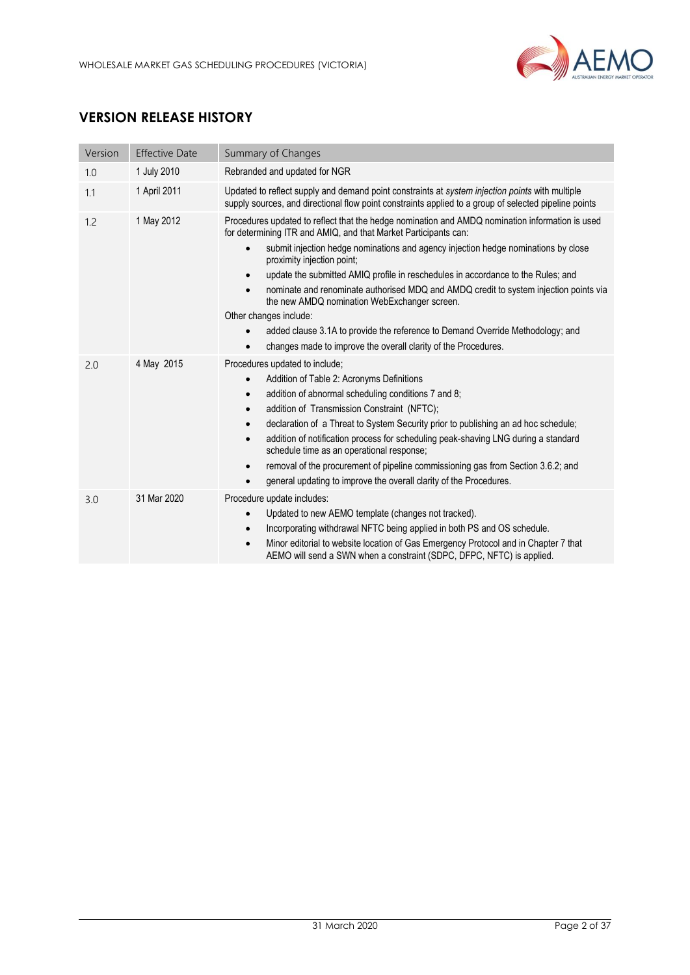

# **VERSION RELEASE HISTORY**

| Version | <b>Effective Date</b> | Summary of Changes                                                                                                                                                                                                                                                                                                                                                                                                                                                                                                                                                                                                                                                     |  |  |
|---------|-----------------------|------------------------------------------------------------------------------------------------------------------------------------------------------------------------------------------------------------------------------------------------------------------------------------------------------------------------------------------------------------------------------------------------------------------------------------------------------------------------------------------------------------------------------------------------------------------------------------------------------------------------------------------------------------------------|--|--|
| 1.0     | 1 July 2010           | Rebranded and updated for NGR                                                                                                                                                                                                                                                                                                                                                                                                                                                                                                                                                                                                                                          |  |  |
| 1.1     | 1 April 2011          | Updated to reflect supply and demand point constraints at system injection points with multiple<br>supply sources, and directional flow point constraints applied to a group of selected pipeline points                                                                                                                                                                                                                                                                                                                                                                                                                                                               |  |  |
| 1.2     | 1 May 2012            | Procedures updated to reflect that the hedge nomination and AMDQ nomination information is used<br>for determining ITR and AMIQ, and that Market Participants can:<br>submit injection hedge nominations and agency injection hedge nominations by close<br>$\bullet$<br>proximity injection point;<br>update the submitted AMIQ profile in reschedules in accordance to the Rules; and<br>$\bullet$<br>nominate and renominate authorised MDQ and AMDQ credit to system injection points via<br>$\bullet$<br>the new AMDQ nomination WebExchanger screen.<br>Other changes include:<br>added clause 3.1A to provide the reference to Demand Override Methodology; and |  |  |
|         |                       | changes made to improve the overall clarity of the Procedures.                                                                                                                                                                                                                                                                                                                                                                                                                                                                                                                                                                                                         |  |  |
| 2.0     | 4 May 2015            | Procedures updated to include;<br>Addition of Table 2: Acronyms Definitions<br>$\bullet$<br>addition of abnormal scheduling conditions 7 and 8;<br>$\bullet$<br>addition of Transmission Constraint (NFTC);<br>$\bullet$<br>declaration of a Threat to System Security prior to publishing an ad hoc schedule;<br>$\bullet$<br>addition of notification process for scheduling peak-shaving LNG during a standard<br>$\bullet$<br>schedule time as an operational response;<br>removal of the procurement of pipeline commissioning gas from Section 3.6.2; and<br>$\bullet$<br>general updating to improve the overall clarity of the Procedures.<br>$\bullet$        |  |  |
| 3.0     | 31 Mar 2020           | Procedure update includes:<br>Updated to new AEMO template (changes not tracked).<br>$\bullet$<br>Incorporating withdrawal NFTC being applied in both PS and OS schedule.<br>$\bullet$<br>Minor editorial to website location of Gas Emergency Protocol and in Chapter 7 that<br>$\bullet$<br>AEMO will send a SWN when a constraint (SDPC, DFPC, NFTC) is applied.                                                                                                                                                                                                                                                                                                    |  |  |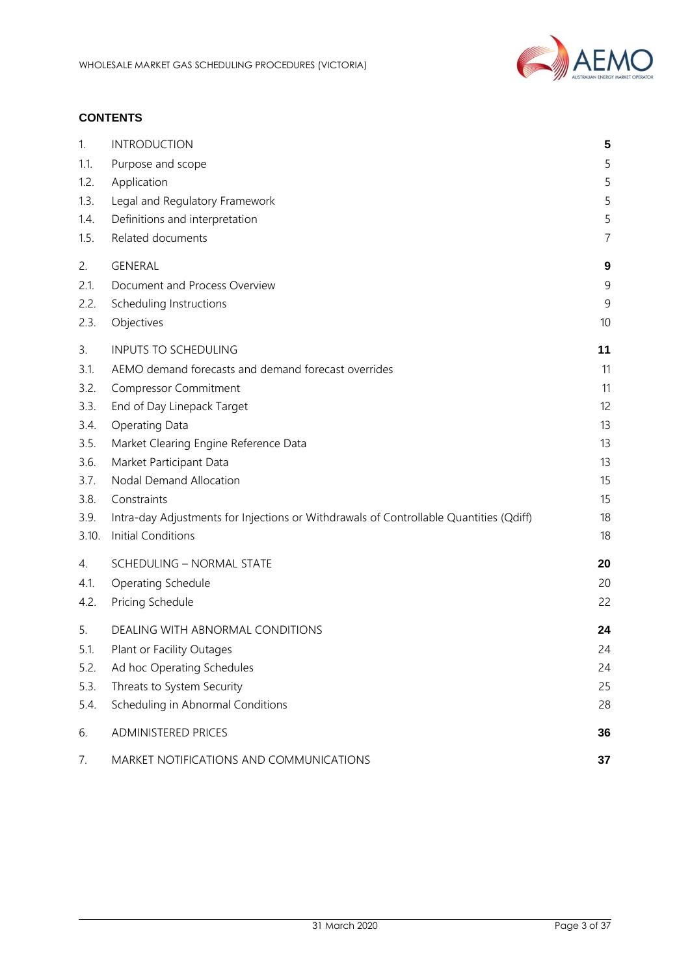

### **CONTENTS**

| 1.    | <b>INTRODUCTION</b>                                                                    | 5  |
|-------|----------------------------------------------------------------------------------------|----|
| 1.1.  | Purpose and scope                                                                      | 5  |
| 1.2.  | Application                                                                            | 5  |
| 1.3.  | Legal and Regulatory Framework                                                         | 5  |
| 1.4.  | Definitions and interpretation                                                         | 5  |
| 1.5.  | Related documents                                                                      | 7  |
| 2.    | <b>GENERAL</b>                                                                         | 9  |
| 2.1.  | Document and Process Overview                                                          | 9  |
| 2.2.  | Scheduling Instructions                                                                | 9  |
| 2.3.  | Objectives                                                                             | 10 |
| 3.    | <b>INPUTS TO SCHEDULING</b>                                                            | 11 |
| 3.1.  | AEMO demand forecasts and demand forecast overrides                                    | 11 |
| 3.2.  | <b>Compressor Commitment</b>                                                           | 11 |
| 3.3.  | End of Day Linepack Target                                                             | 12 |
| 3.4.  | <b>Operating Data</b>                                                                  | 13 |
| 3.5.  | Market Clearing Engine Reference Data                                                  | 13 |
| 3.6.  | Market Participant Data                                                                | 13 |
| 3.7.  | Nodal Demand Allocation                                                                | 15 |
| 3.8.  | Constraints                                                                            | 15 |
| 3.9.  | Intra-day Adjustments for Injections or Withdrawals of Controllable Quantities (Qdiff) | 18 |
| 3.10. | <b>Initial Conditions</b>                                                              | 18 |
| 4.    | <b>SCHEDULING - NORMAL STATE</b>                                                       | 20 |
| 4.1.  | Operating Schedule                                                                     | 20 |
| 4.2.  | Pricing Schedule                                                                       | 22 |
| 5.    | DEALING WITH ABNORMAL CONDITIONS                                                       | 24 |
| 5.1.  | Plant or Facility Outages                                                              | 24 |
| 5.2.  | Ad hoc Operating Schedules                                                             | 24 |
| 5.3.  | Threats to System Security                                                             | 25 |
| 5.4.  | Scheduling in Abnormal Conditions                                                      | 28 |
| 6.    | <b>ADMINISTERED PRICES</b>                                                             | 36 |
| 7.    | MARKET NOTIFICATIONS AND COMMUNICATIONS                                                | 37 |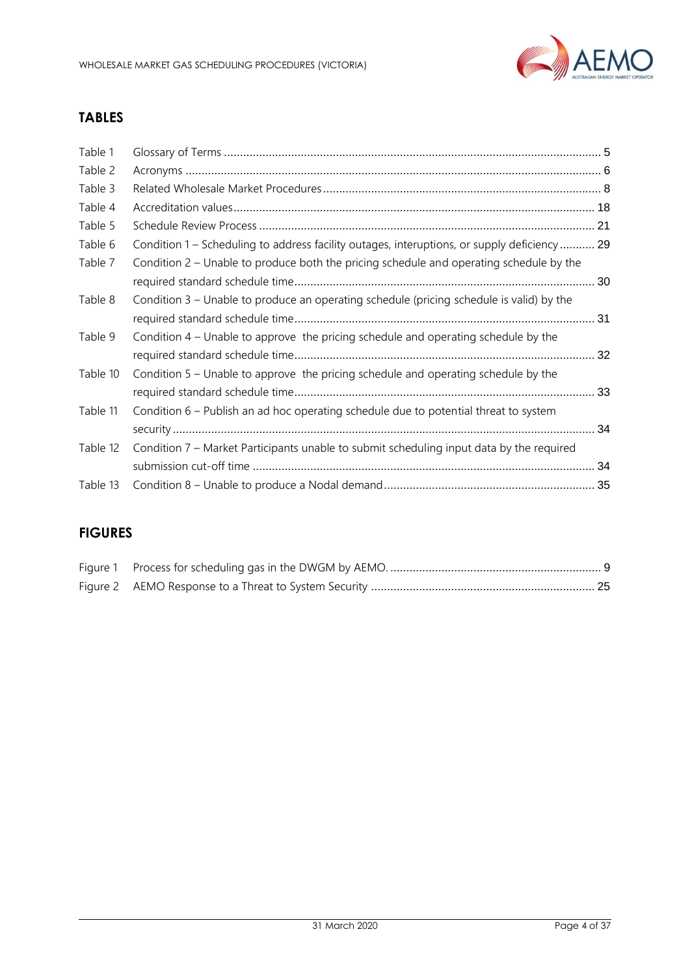

# **TABLES**

| Table 1  |                                                                                             |  |
|----------|---------------------------------------------------------------------------------------------|--|
| Table 2  |                                                                                             |  |
| Table 3  |                                                                                             |  |
| Table 4  |                                                                                             |  |
| Table 5  |                                                                                             |  |
| Table 6  | Condition 1 – Scheduling to address facility outages, interuptions, or supply deficiency 29 |  |
| Table 7  | Condition 2 – Unable to produce both the pricing schedule and operating schedule by the     |  |
| Table 8  | Condition 3 – Unable to produce an operating schedule (pricing schedule is valid) by the    |  |
| Table 9  | Condition 4 – Unable to approve the pricing schedule and operating schedule by the          |  |
| Table 10 | Condition 5 – Unable to approve the pricing schedule and operating schedule by the          |  |
| Table 11 | Condition 6 - Publish an ad hoc operating schedule due to potential threat to system        |  |
| Table 12 | Condition 7 – Market Participants unable to submit scheduling input data by the required    |  |
| Table 13 |                                                                                             |  |
|          |                                                                                             |  |

# **FIGURES**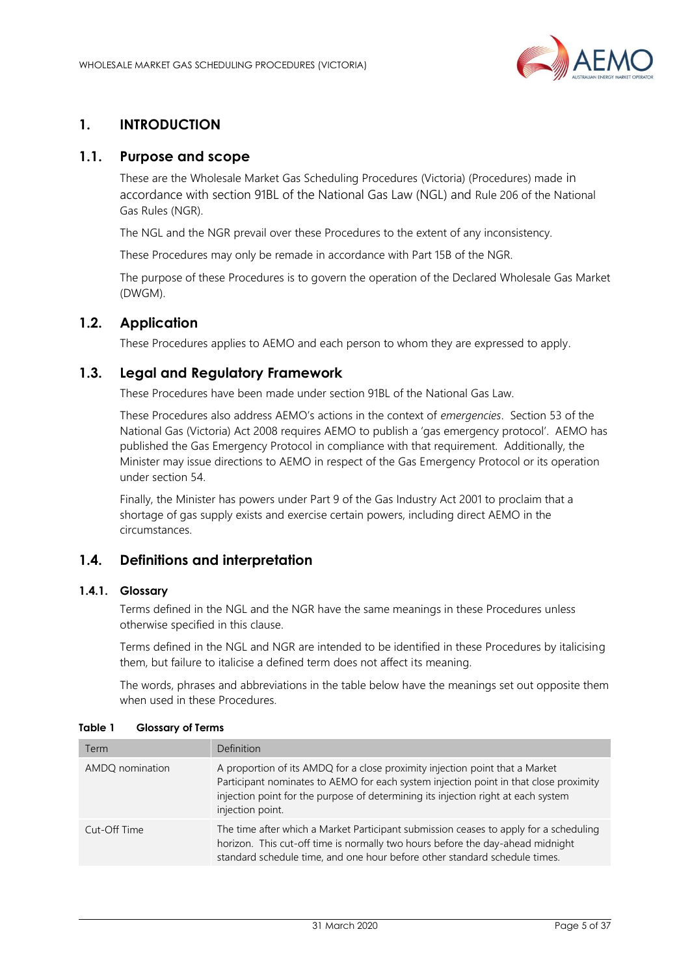

# <span id="page-4-0"></span>**1. INTRODUCTION**

### <span id="page-4-1"></span>**1.1. Purpose and scope**

These are the Wholesale Market Gas Scheduling Procedures (Victoria) (Procedures) made in accordance with section 91BL of the National Gas Law (NGL) and Rule 206 of the National Gas Rules (NGR).

The NGL and the NGR prevail over these Procedures to the extent of any inconsistency.

These Procedures may only be remade in accordance with Part 15B of the NGR.

The purpose of these Procedures is to govern the operation of the Declared Wholesale Gas Market (DWGM).

### <span id="page-4-2"></span>**1.2. Application**

These Procedures applies to AEMO and each person to whom they are expressed to apply.

### <span id="page-4-3"></span>**1.3. Legal and Regulatory Framework**

These Procedures have been made under section 91BL of the National Gas Law.

These Procedures also address AEMO's actions in the context of *emergencies*. Section 53 of the National Gas (Victoria) Act 2008 requires AEMO to publish a 'gas emergency protocol'. AEMO has published the Gas Emergency Protocol in compliance with that requirement. Additionally, the Minister may issue directions to AEMO in respect of the Gas Emergency Protocol or its operation under section 54.

Finally, the Minister has powers under Part 9 of the Gas Industry Act 2001 to proclaim that a shortage of gas supply exists and exercise certain powers, including direct AEMO in the circumstances.

### <span id="page-4-4"></span>**1.4. Definitions and interpretation**

### **1.4.1. Glossary**

Terms defined in the NGL and the NGR have the same meanings in these Procedures unless otherwise specified in this clause.

Terms defined in the NGL and NGR are intended to be identified in these Procedures by italicising them, but failure to italicise a defined term does not affect its meaning.

The words, phrases and abbreviations in the table below have the meanings set out opposite them when used in these Procedures.

| Term            | Definition                                                                                                                                                                                                                                                                     |
|-----------------|--------------------------------------------------------------------------------------------------------------------------------------------------------------------------------------------------------------------------------------------------------------------------------|
| AMDQ nomination | A proportion of its AMDQ for a close proximity injection point that a Market<br>Participant nominates to AEMO for each system injection point in that close proximity<br>injection point for the purpose of determining its injection right at each system<br>injection point. |
| Cut-Off Time    | The time after which a Market Participant submission ceases to apply for a scheduling<br>horizon. This cut-off time is normally two hours before the day-ahead midnight<br>standard schedule time, and one hour before other standard schedule times.                          |

<span id="page-4-5"></span>**Table 1 Glossary of Terms**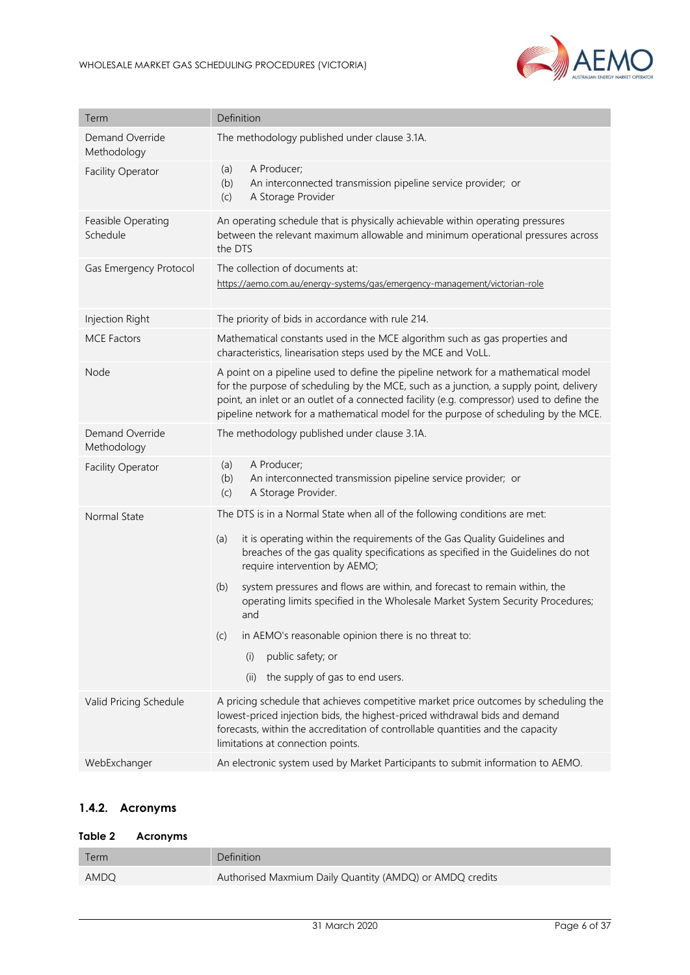

| Term                           | Definition                                                                                                                                                                                                                                                                                                                                                       |  |
|--------------------------------|------------------------------------------------------------------------------------------------------------------------------------------------------------------------------------------------------------------------------------------------------------------------------------------------------------------------------------------------------------------|--|
| Demand Override<br>Methodology | The methodology published under clause 3.1A.                                                                                                                                                                                                                                                                                                                     |  |
| <b>Facility Operator</b>       | A Producer;<br>(a)<br>An interconnected transmission pipeline service provider; or<br>(b)<br>A Storage Provider<br>(c)                                                                                                                                                                                                                                           |  |
| Feasible Operating<br>Schedule | An operating schedule that is physically achievable within operating pressures<br>between the relevant maximum allowable and minimum operational pressures across<br>the DTS                                                                                                                                                                                     |  |
| Gas Emergency Protocol         | The collection of documents at:<br>https://aemo.com.au/energy-systems/gas/emergency-management/victorian-role                                                                                                                                                                                                                                                    |  |
| Injection Right                | The priority of bids in accordance with rule 214.                                                                                                                                                                                                                                                                                                                |  |
| <b>MCE Factors</b>             | Mathematical constants used in the MCE algorithm such as gas properties and<br>characteristics, linearisation steps used by the MCE and VoLL.                                                                                                                                                                                                                    |  |
| Node                           | A point on a pipeline used to define the pipeline network for a mathematical model<br>for the purpose of scheduling by the MCE, such as a junction, a supply point, delivery<br>point, an inlet or an outlet of a connected facility (e.g. compressor) used to define the<br>pipeline network for a mathematical model for the purpose of scheduling by the MCE. |  |
| Demand Override<br>Methodology | The methodology published under clause 3.1A.                                                                                                                                                                                                                                                                                                                     |  |
| <b>Facility Operator</b>       | A Producer;<br>(a)<br>An interconnected transmission pipeline service provider; or<br>(b)<br>A Storage Provider.<br>(c)                                                                                                                                                                                                                                          |  |
| Normal State                   | The DTS is in a Normal State when all of the following conditions are met:                                                                                                                                                                                                                                                                                       |  |
|                                | it is operating within the requirements of the Gas Quality Guidelines and<br>(a)<br>breaches of the gas quality specifications as specified in the Guidelines do not<br>require intervention by AEMO;                                                                                                                                                            |  |
|                                | system pressures and flows are within, and forecast to remain within, the<br>(b)<br>operating limits specified in the Wholesale Market System Security Procedures;<br>and                                                                                                                                                                                        |  |
|                                | in AEMO's reasonable opinion there is no threat to:<br>(c)                                                                                                                                                                                                                                                                                                       |  |
|                                | public safety; or<br>(i)                                                                                                                                                                                                                                                                                                                                         |  |
|                                | (ii)<br>the supply of gas to end users.                                                                                                                                                                                                                                                                                                                          |  |
| Valid Pricing Schedule         | A pricing schedule that achieves competitive market price outcomes by scheduling the<br>lowest-priced injection bids, the highest-priced withdrawal bids and demand<br>forecasts, within the accreditation of controllable quantities and the capacity<br>limitations at connection points.                                                                      |  |
| WebExchanger                   | An electronic system used by Market Participants to submit information to AEMO.                                                                                                                                                                                                                                                                                  |  |

# **1.4.2. Acronyms**

### <span id="page-5-0"></span>**Table 2 Acronyms**

| Term | <b>Definition</b>                                        |
|------|----------------------------------------------------------|
| AMDQ | Authorised Maxmium Daily Quantity (AMDQ) or AMDQ credits |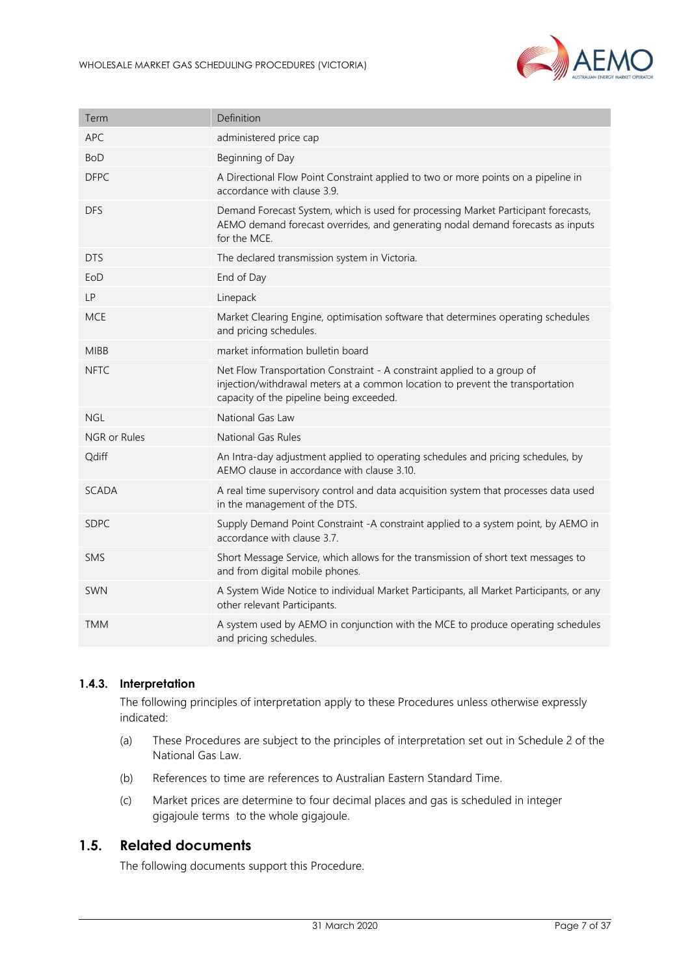

| Term         | Definition                                                                                                                                                                                            |
|--------------|-------------------------------------------------------------------------------------------------------------------------------------------------------------------------------------------------------|
| <b>APC</b>   | administered price cap                                                                                                                                                                                |
| <b>BoD</b>   | Beginning of Day                                                                                                                                                                                      |
| <b>DFPC</b>  | A Directional Flow Point Constraint applied to two or more points on a pipeline in<br>accordance with clause 3.9.                                                                                     |
| <b>DFS</b>   | Demand Forecast System, which is used for processing Market Participant forecasts,<br>AEMO demand forecast overrides, and generating nodal demand forecasts as inputs<br>for the MCE.                 |
| <b>DTS</b>   | The declared transmission system in Victoria.                                                                                                                                                         |
| EoD          | End of Day                                                                                                                                                                                            |
| <b>LP</b>    | Linepack                                                                                                                                                                                              |
| <b>MCE</b>   | Market Clearing Engine, optimisation software that determines operating schedules<br>and pricing schedules.                                                                                           |
| <b>MIBB</b>  | market information bulletin board                                                                                                                                                                     |
| <b>NFTC</b>  | Net Flow Transportation Constraint - A constraint applied to a group of<br>injection/withdrawal meters at a common location to prevent the transportation<br>capacity of the pipeline being exceeded. |
| <b>NGL</b>   | National Gas Law                                                                                                                                                                                      |
| NGR or Rules | National Gas Rules                                                                                                                                                                                    |
| Qdiff        | An Intra-day adjustment applied to operating schedules and pricing schedules, by<br>AEMO clause in accordance with clause 3.10.                                                                       |
| <b>SCADA</b> | A real time supervisory control and data acquisition system that processes data used<br>in the management of the DTS.                                                                                 |
| <b>SDPC</b>  | Supply Demand Point Constraint -A constraint applied to a system point, by AEMO in<br>accordance with clause 3.7.                                                                                     |
| SMS          | Short Message Service, which allows for the transmission of short text messages to<br>and from digital mobile phones.                                                                                 |
| SWN          | A System Wide Notice to individual Market Participants, all Market Participants, or any<br>other relevant Participants.                                                                               |
| <b>TMM</b>   | A system used by AEMO in conjunction with the MCE to produce operating schedules<br>and pricing schedules.                                                                                            |

### **1.4.3. Interpretation**

The following principles of interpretation apply to these Procedures unless otherwise expressly indicated:

- (a) These Procedures are subject to the principles of interpretation set out in Schedule 2 of the National Gas Law.
- (b) References to time are references to Australian Eastern Standard Time.
- (c) Market prices are determine to four decimal places and gas is scheduled in integer gigajoule terms to the whole gigajoule.

### <span id="page-6-0"></span>**1.5. Related documents**

The following documents support this Procedure.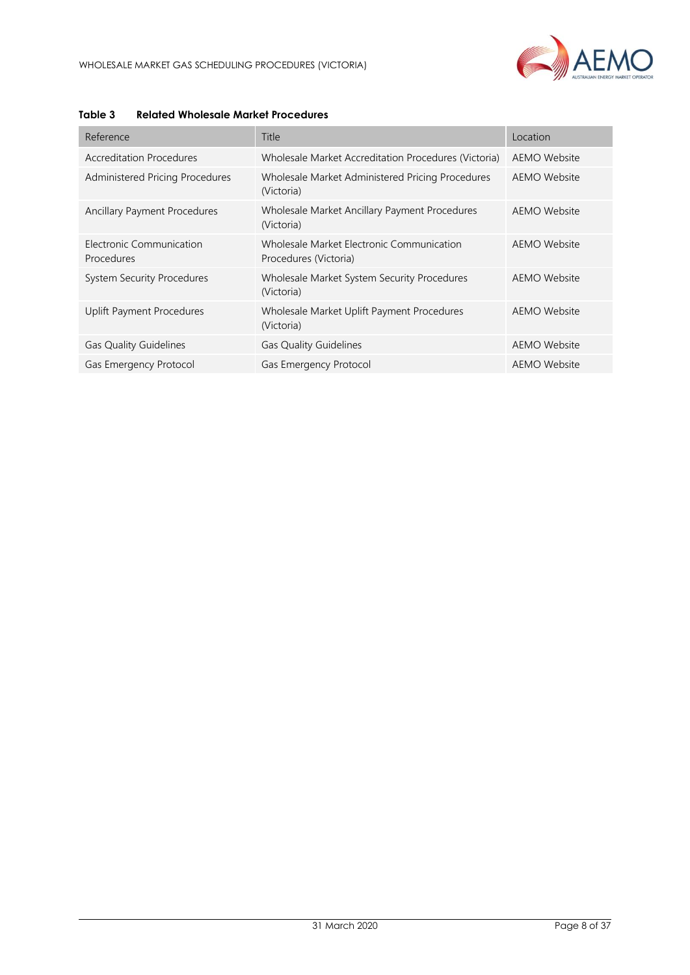

| Reference                              | Title                                                              | Location            |
|----------------------------------------|--------------------------------------------------------------------|---------------------|
| Accreditation Procedures               | Wholesale Market Accreditation Procedures (Victoria)               | AEMO Website        |
| Administered Pricing Procedures        | Wholesale Market Administered Pricing Procedures<br>(Victoria)     | AEMO Website        |
| Ancillary Payment Procedures           | Wholesale Market Ancillary Payment Procedures<br>(Victoria)        | AEMO Website        |
| Electronic Communication<br>Procedures | Wholesale Market Electronic Communication<br>Procedures (Victoria) | AEMO Website        |
| <b>System Security Procedures</b>      | Wholesale Market System Security Procedures<br>(Victoria)          | <b>AEMO Website</b> |
| <b>Uplift Payment Procedures</b>       | Wholesale Market Uplift Payment Procedures<br>(Victoria)           | AEMO Website        |
| <b>Gas Quality Guidelines</b>          | <b>Gas Quality Guidelines</b>                                      | AEMO Website        |
| Gas Emergency Protocol                 | Gas Emergency Protocol                                             | AEMO Website        |

#### <span id="page-7-0"></span>**Table 3 Related Wholesale Market Procedures**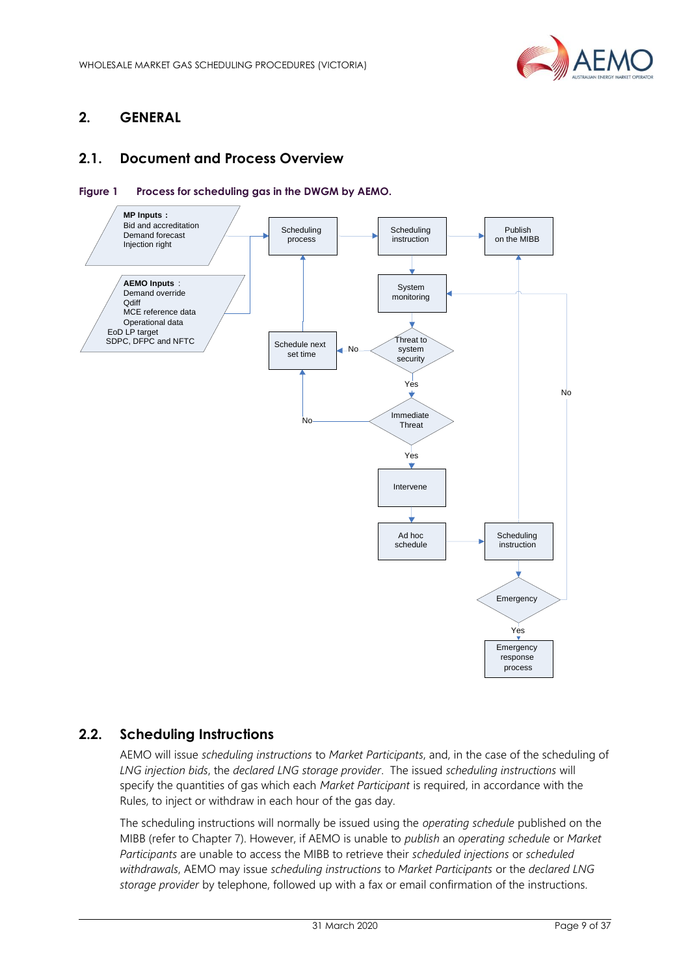

# <span id="page-8-0"></span>**2. GENERAL**

# <span id="page-8-1"></span>**2.1. Document and Process Overview**

<span id="page-8-3"></span>



### <span id="page-8-2"></span>**2.2. Scheduling Instructions**

AEMO will issue *scheduling instructions* to *Market Participants*, and, in the case of the scheduling of *LNG injection bids*, the *declared LNG storage provider*. The issued *scheduling instructions* will specify the quantities of gas which each *Market Participant* is required, in accordance with the Rules, to inject or withdraw in each hour of the gas day.

The scheduling instructions will normally be issued using the *operating schedule* published on the MIBB (refer to Chapter 7). However, if AEMO is unable to *publish* an *operating schedule* or *Market Participants* are unable to access the MIBB to retrieve their *scheduled injections* or *scheduled withdrawals*, AEMO may issue *scheduling instructions* to *Market Participants* or the *declared LNG storage provider* by telephone, followed up with a fax or email confirmation of the instructions.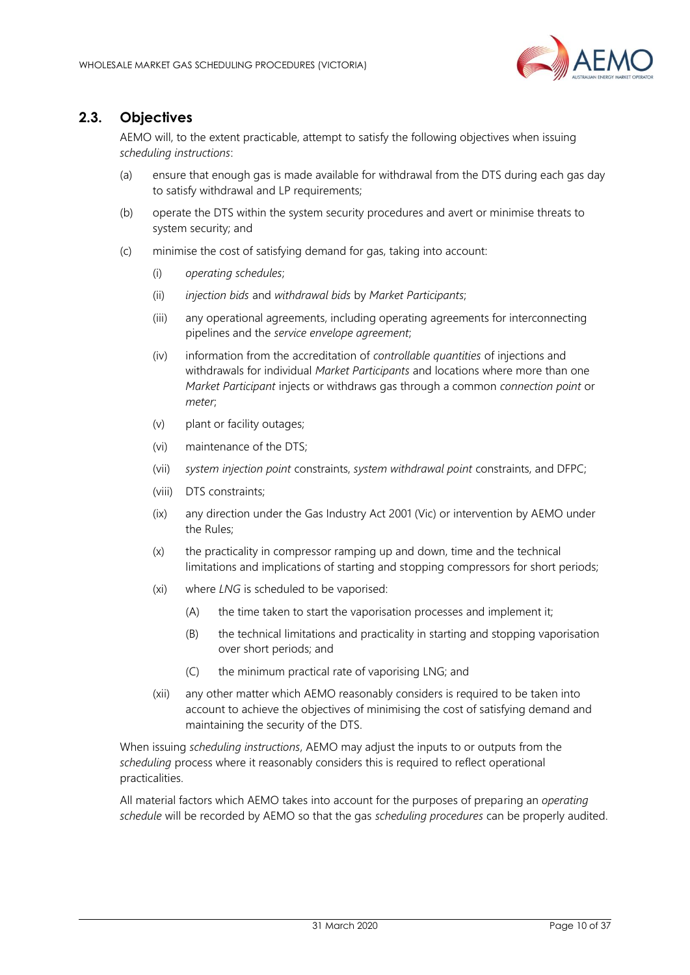

# <span id="page-9-0"></span>**2.3. Objectives**

AEMO will, to the extent practicable, attempt to satisfy the following objectives when issuing *scheduling instructions*:

- (a) ensure that enough gas is made available for withdrawal from the DTS during each gas day to satisfy withdrawal and LP requirements;
- (b) operate the DTS within the system security procedures and avert or minimise threats to system security; and
- (c) minimise the cost of satisfying demand for gas, taking into account:
	- (i) *operating schedules*;
	- (ii) *injection bids* and *withdrawal bids* by *Market Participants*;
	- (iii) any operational agreements, including operating agreements for interconnecting pipelines and the *service envelope agreement*;
	- (iv) information from the accreditation of *controllable quantities* of injections and withdrawals for individual *Market Participants* and locations where more than one *Market Participant* injects or withdraws gas through a common *connection point* or *meter*;
	- (v) plant or facility outages;
	- (vi) maintenance of the DTS;
	- (vii) *system injection point* constraints, *system withdrawal point* constraints, and DFPC;
	- (viii) DTS constraints;
	- (ix) any direction under the Gas Industry Act 2001 (Vic) or intervention by AEMO under the Rules;
	- (x) the practicality in compressor ramping up and down, time and the technical limitations and implications of starting and stopping compressors for short periods;
	- (xi) where *LNG* is scheduled to be vaporised:
		- (A) the time taken to start the vaporisation processes and implement it;
		- (B) the technical limitations and practicality in starting and stopping vaporisation over short periods; and
		- (C) the minimum practical rate of vaporising LNG; and
	- (xii) any other matter which AEMO reasonably considers is required to be taken into account to achieve the objectives of minimising the cost of satisfying demand and maintaining the security of the DTS.

When issuing *scheduling instructions*, AEMO may adjust the inputs to or outputs from the *scheduling* process where it reasonably considers this is required to reflect operational practicalities.

All material factors which AEMO takes into account for the purposes of preparing an *operating schedule* will be recorded by AEMO so that the gas *scheduling procedures* can be properly audited.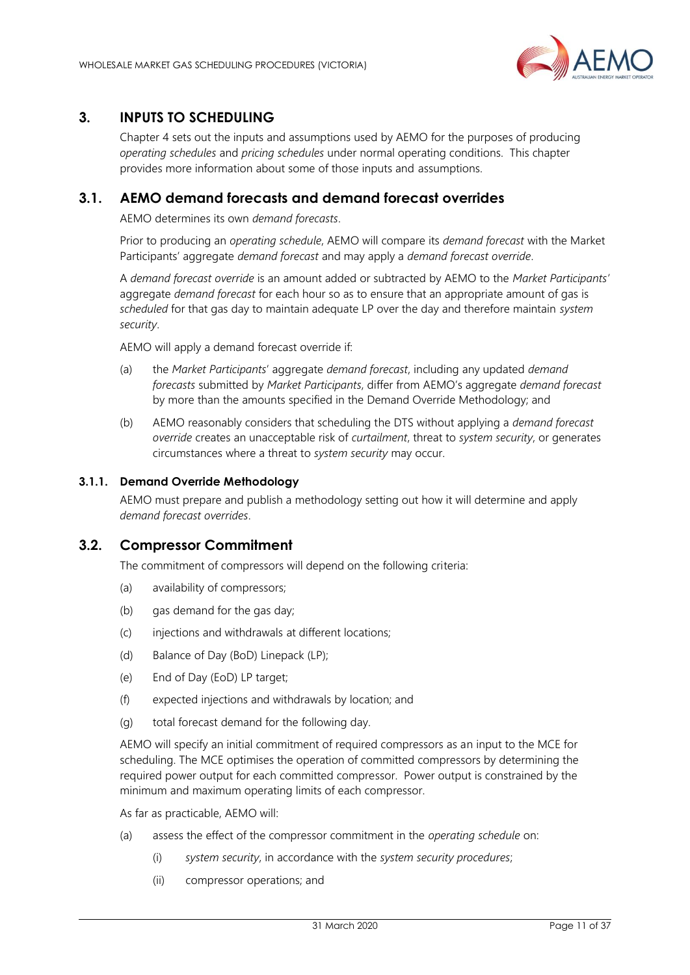

# <span id="page-10-0"></span>**3. INPUTS TO SCHEDULING**

Chapter 4 sets out the inputs and assumptions used by AEMO for the purposes of producing *operating schedules* and *pricing schedules* under normal operating conditions. This chapter provides more information about some of those inputs and assumptions.

### <span id="page-10-1"></span>**3.1. AEMO demand forecasts and demand forecast overrides**

AEMO determines its own *demand forecasts*.

Prior to producing an *operating schedule*, AEMO will compare its *demand forecast* with the Market Participants' aggregate *demand forecast* and may apply a *demand forecast override*.

A *demand forecast override* is an amount added or subtracted by AEMO to the *Market Participants'* aggregate *demand forecast* for each hour so as to ensure that an appropriate amount of gas is *scheduled* for that gas day to maintain adequate LP over the day and therefore maintain *system security*.

AEMO will apply a demand forecast override if:

- (a) the *Market Participants*' aggregate *demand forecast*, including any updated *demand forecasts* submitted by *Market Participants*, differ from AEMO's aggregate *demand forecast* by more than the amounts specified in the Demand Override Methodology; and
- (b) AEMO reasonably considers that scheduling the DTS without applying a *demand forecast override* creates an unacceptable risk of *curtailment*, threat to *system security*, or generates circumstances where a threat to *system security* may occur.

#### **3.1.1. Demand Override Methodology**

AEMO must prepare and publish a methodology setting out how it will determine and apply *demand forecast overrides*.

### <span id="page-10-2"></span>**3.2. Compressor Commitment**

The commitment of compressors will depend on the following criteria:

- (a) availability of compressors;
- (b) gas demand for the gas day;
- (c) injections and withdrawals at different locations;
- (d) Balance of Day (BoD) Linepack (LP);
- (e) End of Day (EoD) LP target;
- (f) expected injections and withdrawals by location; and
- (g) total forecast demand for the following day.

AEMO will specify an initial commitment of required compressors as an input to the MCE for scheduling. The MCE optimises the operation of committed compressors by determining the required power output for each committed compressor. Power output is constrained by the minimum and maximum operating limits of each compressor.

As far as practicable, AEMO will:

- (a) assess the effect of the compressor commitment in the *operating schedule* on:
	- (i) *system security*, in accordance with the *system security procedures*;
	- (ii) compressor operations; and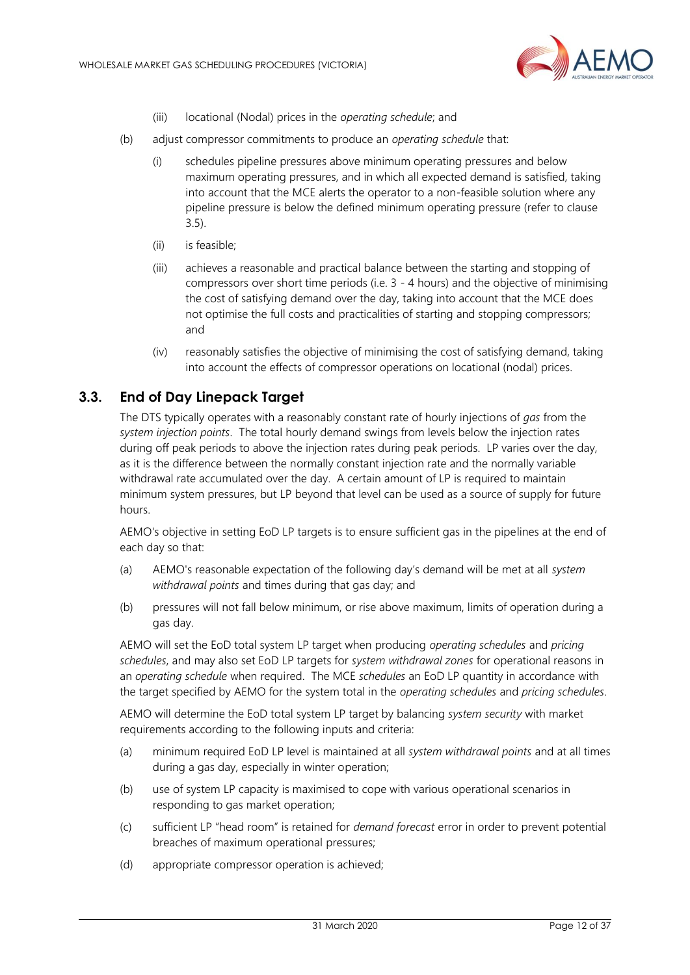

- (iii) locational (Nodal) prices in the *operating schedule*; and
- (b) adjust compressor commitments to produce an *operating schedule* that:
	- (i) schedules pipeline pressures above minimum operating pressures and below maximum operating pressures, and in which all expected demand is satisfied, taking into account that the MCE alerts the operator to a non-feasible solution where any pipeline pressure is below the defined minimum operating pressure (refer to clause 3.5).
	- (ii) is feasible;
	- (iii) achieves a reasonable and practical balance between the starting and stopping of compressors over short time periods (i.e. 3 - 4 hours) and the objective of minimising the cost of satisfying demand over the day, taking into account that the MCE does not optimise the full costs and practicalities of starting and stopping compressors; and
	- (iv) reasonably satisfies the objective of minimising the cost of satisfying demand, taking into account the effects of compressor operations on locational (nodal) prices.

### <span id="page-11-0"></span>**3.3. End of Day Linepack Target**

The DTS typically operates with a reasonably constant rate of hourly injections of *gas* from the *system injection points*. The total hourly demand swings from levels below the injection rates during off peak periods to above the injection rates during peak periods. LP varies over the day, as it is the difference between the normally constant injection rate and the normally variable withdrawal rate accumulated over the day. A certain amount of LP is required to maintain minimum system pressures, but LP beyond that level can be used as a source of supply for future hours.

AEMO's objective in setting EoD LP targets is to ensure sufficient gas in the pipelines at the end of each day so that:

- (a) AEMO's reasonable expectation of the following day's demand will be met at all *system withdrawal points* and times during that gas day; and
- (b) pressures will not fall below minimum, or rise above maximum, limits of operation during a gas day.

AEMO will set the EoD total system LP target when producing *operating schedules* and *pricing schedules*, and may also set EoD LP targets for *system withdrawal zones* for operational reasons in an *operating schedule* when required. The MCE *schedules* an EoD LP quantity in accordance with the target specified by AEMO for the system total in the *operating schedules* and *pricing schedules*.

AEMO will determine the EoD total system LP target by balancing *system security* with market requirements according to the following inputs and criteria:

- (a) minimum required EoD LP level is maintained at all *system withdrawal points* and at all times during a gas day, especially in winter operation;
- (b) use of system LP capacity is maximised to cope with various operational scenarios in responding to gas market operation;
- (c) sufficient LP "head room" is retained for *demand forecast* error in order to prevent potential breaches of maximum operational pressures;
- (d) appropriate compressor operation is achieved;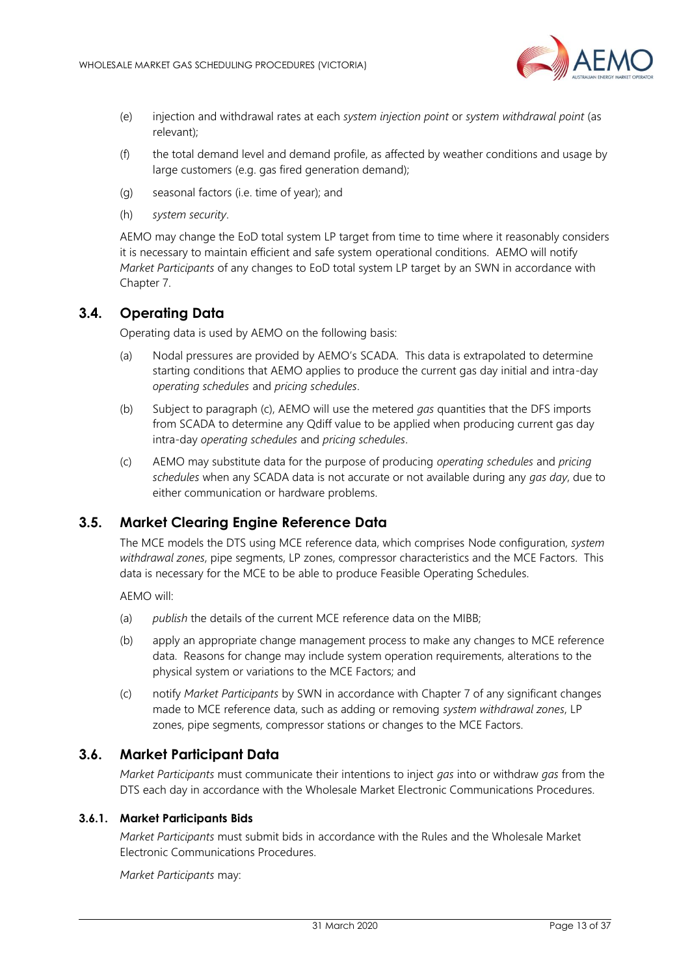

- (e) injection and withdrawal rates at each *system injection point* or *system withdrawal point* (as relevant);
- (f) the total demand level and demand profile, as affected by weather conditions and usage by large customers (e.g. gas fired generation demand);
- (g) seasonal factors (i.e. time of year); and
- (h) *system security*.

AEMO may change the EoD total system LP target from time to time where it reasonably considers it is necessary to maintain efficient and safe system operational conditions. AEMO will notify *Market Participants* of any changes to EoD total system LP target by an SWN in accordance with Chapter 7.

### <span id="page-12-0"></span>**3.4. Operating Data**

Operating data is used by AEMO on the following basis:

- (a) Nodal pressures are provided by AEMO's SCADA. This data is extrapolated to determine starting conditions that AEMO applies to produce the current gas day initial and intra-day *operating schedules* and *pricing schedules*.
- (b) Subject to paragraph (c), AEMO will use the metered *gas* quantities that the DFS imports from SCADA to determine any Qdiff value to be applied when producing current gas day intra-day *operating schedules* and *pricing schedules*.
- (c) AEMO may substitute data for the purpose of producing *operating schedules* and *pricing schedules* when any SCADA data is not accurate or not available during any *gas day*, due to either communication or hardware problems.

### <span id="page-12-1"></span>**3.5. Market Clearing Engine Reference Data**

The MCE models the DTS using MCE reference data, which comprises Node configuration, *system withdrawal zones*, pipe segments, LP zones, compressor characteristics and the MCE Factors. This data is necessary for the MCE to be able to produce Feasible Operating Schedules.

AEMO will:

- (a) *publish* the details of the current MCE reference data on the MIBB;
- (b) apply an appropriate change management process to make any changes to MCE reference data. Reasons for change may include system operation requirements, alterations to the physical system or variations to the MCE Factors; and
- (c) notify *Market Participants* by SWN in accordance with Chapter [7](#page-36-0) of any significant changes made to MCE reference data, such as adding or removing *system withdrawal zones*, LP zones, pipe segments, compressor stations or changes to the MCE Factors.

### <span id="page-12-2"></span>**3.6. Market Participant Data**

*Market Participants* must communicate their intentions to inject *gas* into or withdraw *gas* from the DTS each day in accordance with the Wholesale Market Electronic Communications Procedures.

### <span id="page-12-3"></span>**3.6.1. Market Participants Bids**

*Market Participants* must submit bids in accordance with the Rules and the Wholesale Market Electronic Communications Procedures.

*Market Participants* may: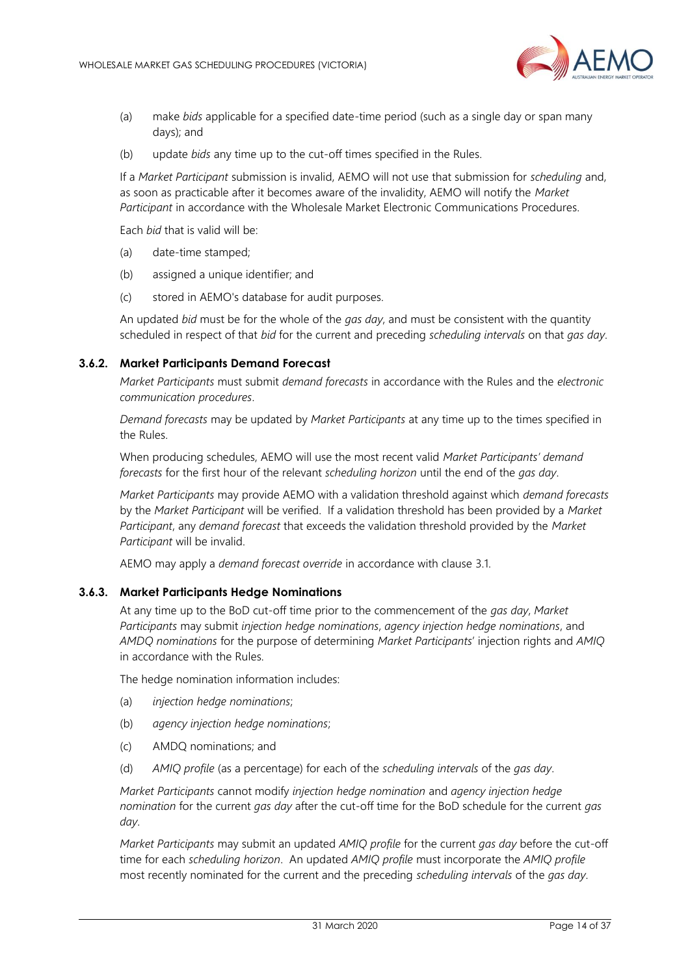

- (a) make *bids* applicable for a specified date-time period (such as a single day or span many days); and
- (b) update *bids* any time up to the cut-off times specified in the Rules.

If a *Market Participant* submission is invalid, AEMO will not use that submission for *scheduling* and, as soon as practicable after it becomes aware of the invalidity, AEMO will notify the *Market Participant* in accordance with the Wholesale Market Electronic Communications Procedures.

Each *bid* that is valid will be:

- (a) date-time stamped;
- (b) assigned a unique identifier; and
- (c) stored in AEMO's database for audit purposes.

An updated *bid* must be for the whole of the *gas day*, and must be consistent with the quantity scheduled in respect of that *bid* for the current and preceding *scheduling intervals* on that *gas day*.

#### <span id="page-13-0"></span>**3.6.2. Market Participants Demand Forecast**

*Market Participants* must submit *demand forecasts* in accordance with the Rules and the *electronic communication procedures*.

*Demand forecasts* may be updated by *Market Participants* at any time up to the times specified in the Rules.

When producing schedules, AEMO will use the most recent valid *Market Participants' demand forecasts* for the first hour of the relevant *scheduling horizon* until the end of the *gas day*.

*Market Participants* may provide AEMO with a validation threshold against which *demand forecasts* by the *Market Participant* will be verified. If a validation threshold has been provided by a *Market Participant*, any *demand forecast* that exceeds the validation threshold provided by the *Market Participant* will be invalid.

AEMO may apply a *demand forecast override* in accordance with clause [3.1.](#page-10-1)

#### <span id="page-13-1"></span>**3.6.3. Market Participants Hedge Nominations**

At any time up to the BoD cut-off time prior to the commencement of the *gas day*, *Market Participants* may submit *injection hedge nominations*, *agency injection hedge nominations*, and *AMDQ nominations* for the purpose of determining *Market Participants*' injection rights and *AMIQ* in accordance with the Rules.

The hedge nomination information includes:

- (a) *injection hedge nominations*;
- (b) *agency injection hedge nominations*;
- (c) AMDQ nominations; and
- (d) *AMIQ profile* (as a percentage) for each of the *scheduling intervals* of the *gas day*.

*Market Participants* cannot modify *injection hedge nomination* and *agency injection hedge nomination* for the current *gas day* after the cut-off time for the BoD schedule for the current *gas day*.

*Market Participants* may submit an updated *AMIQ profile* for the current *gas day* before the cut-off time for each *scheduling horizon*. An updated *AMIQ profile* must incorporate the *AMIQ profile* most recently nominated for the current and the preceding *scheduling intervals* of the *gas day*.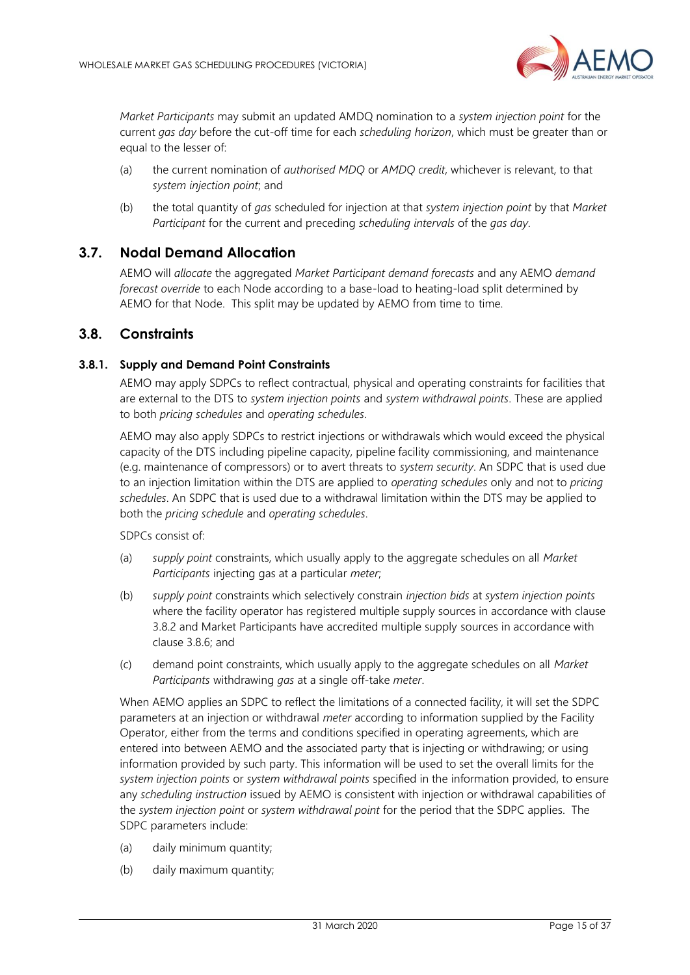

*Market Participants* may submit an updated AMDQ nomination to a *system injection point* for the current *gas day* before the cut-off time for each *scheduling horizon*, which must be greater than or equal to the lesser of:

- (a) the current nomination of *authorised MDQ* or *AMDQ credit*, whichever is relevant, to that *system injection point*; and
- (b) the total quantity of *gas* scheduled for injection at that *system injection point* by that *Market Participant* for the current and preceding *scheduling intervals* of the *gas day*.

### <span id="page-14-0"></span>**3.7. Nodal Demand Allocation**

AEMO will *allocate* the aggregated *Market Participant demand forecasts* and any AEMO *demand forecast override* to each Node according to a base-load to heating-load split determined by AEMO for that Node. This split may be updated by AEMO from time to time.

### <span id="page-14-1"></span>**3.8. Constraints**

#### <span id="page-14-2"></span>**3.8.1. Supply and Demand Point Constraints**

AEMO may apply SDPCs to reflect contractual, physical and operating constraints for facilities that are external to the DTS to *system injection points* and *system withdrawal points*. These are applied to both *pricing schedules* and *operating schedules*.

AEMO may also apply SDPCs to restrict injections or withdrawals which would exceed the physical capacity of the DTS including pipeline capacity, pipeline facility commissioning, and maintenance (e.g. maintenance of compressors) or to avert threats to *system security*. An SDPC that is used due to an injection limitation within the DTS are applied to *operating schedules* only and not to *pricing schedules*. An SDPC that is used due to a withdrawal limitation within the DTS may be applied to both the *pricing schedule* and *operating schedules*.

SDPCs consist of:

- (a) *supply point* constraints, which usually apply to the aggregate schedules on all *Market Participants* injecting gas at a particular *meter*;
- (b) *supply point* constraints which selectively constrain *injection bids* at *system injection points* where the facility operator has registered multiple supply sources in accordance with clause [3.8.2](#page-15-0) and Market Participants have accredited multiple supply sources in accordance with clause [3.8.6;](#page-16-0) and
- (c) demand point constraints, which usually apply to the aggregate schedules on all *Market Participants* withdrawing *gas* at a single off-take *meter*.

When AEMO applies an SDPC to reflect the limitations of a connected facility, it will set the SDPC parameters at an injection or withdrawal *meter* according to information supplied by the Facility Operator, either from the terms and conditions specified in operating agreements, which are entered into between AEMO and the associated party that is injecting or withdrawing; or using information provided by such party. This information will be used to set the overall limits for the *system injection points* or *system withdrawal points* specified in the information provided, to ensure any *scheduling instruction* issued by AEMO is consistent with injection or withdrawal capabilities of the *system injection point* or *system withdrawal point* for the period that the SDPC applies. The SDPC parameters include:

- (a) daily minimum quantity;
- (b) daily maximum quantity;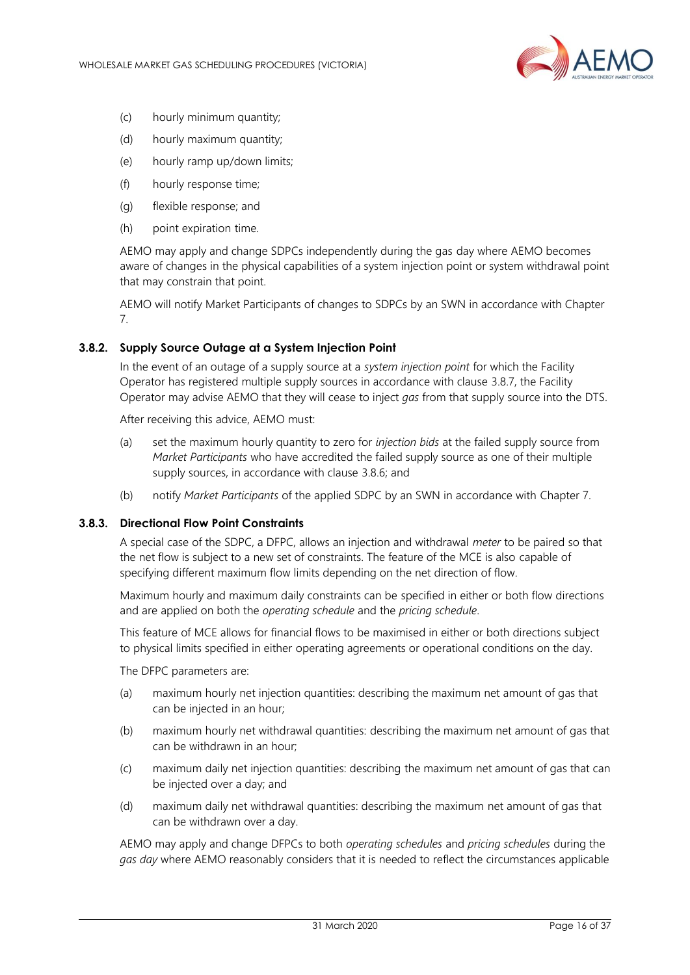

- (c) hourly minimum quantity;
- (d) hourly maximum quantity;
- (e) hourly ramp up/down limits;
- (f) hourly response time;
- (g) flexible response; and
- (h) point expiration time.

AEMO may apply and change SDPCs independently during the gas day where AEMO becomes aware of changes in the physical capabilities of a system injection point or system withdrawal point that may constrain that point.

AEMO will notify Market Participants of changes to SDPCs by an SWN in accordance with Chapter [7.](#page-36-0)

#### <span id="page-15-0"></span>**3.8.2. Supply Source Outage at a System Injection Point**

In the event of an outage of a supply source at a *system injection point* for which the Facility Operator has registered multiple supply sources in accordance with clause [3.8.7,](#page-17-3) the Facility Operator may advise AEMO that they will cease to inject *gas* from that supply source into the DTS.

After receiving this advice, AEMO must:

- (a) set the maximum hourly quantity to zero for *injection bids* at the failed supply source from *Market Participants* who have accredited the failed supply source as one of their multiple supply sources, in accordance with clause [3.8.6;](#page-16-0) and
- (b) notify *Market Participants* of the applied SDPC by an SWN in accordance with Chapter [7.](#page-36-0)

#### <span id="page-15-1"></span>**3.8.3. Directional Flow Point Constraints**

A special case of the SDPC, a DFPC, allows an injection and withdrawal *meter* to be paired so that the net flow is subject to a new set of constraints. The feature of the MCE is also capable of specifying different maximum flow limits depending on the net direction of flow.

Maximum hourly and maximum daily constraints can be specified in either or both flow directions and are applied on both the *operating schedule* and the *pricing schedule*.

This feature of MCE allows for financial flows to be maximised in either or both directions subject to physical limits specified in either operating agreements or operational conditions on the day.

The DFPC parameters are:

- (a) maximum hourly net injection quantities: describing the maximum net amount of gas that can be injected in an hour;
- (b) maximum hourly net withdrawal quantities: describing the maximum net amount of gas that can be withdrawn in an hour;
- (c) maximum daily net injection quantities: describing the maximum net amount of gas that can be injected over a day; and
- (d) maximum daily net withdrawal quantities: describing the maximum net amount of gas that can be withdrawn over a day.

AEMO may apply and change DFPCs to both *operating schedules* and *pricing schedules* during the *gas day* where AEMO reasonably considers that it is needed to reflect the circumstances applicable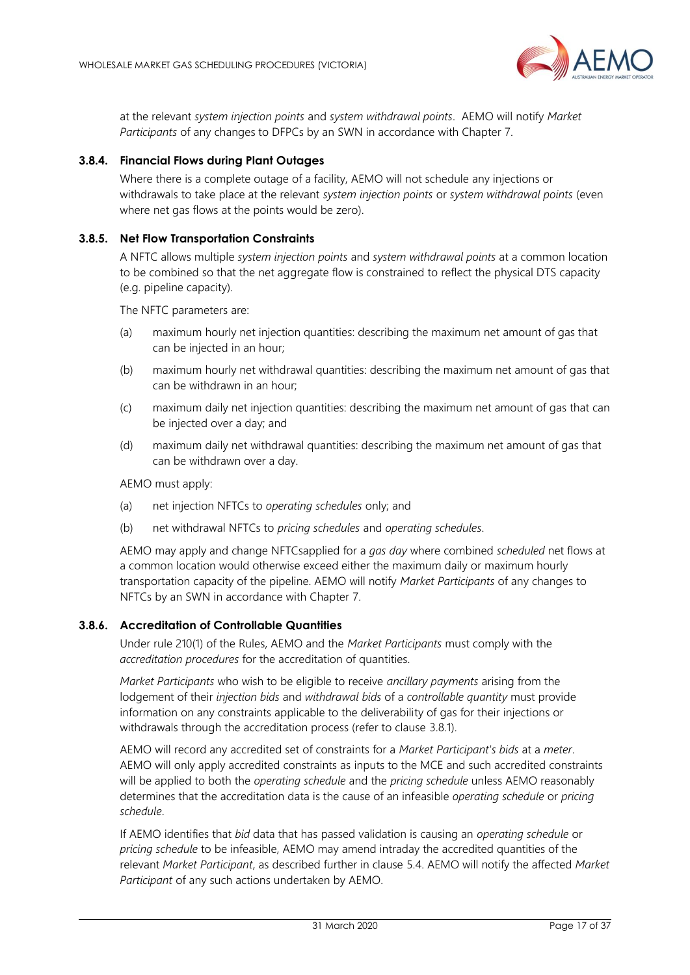

at the relevant *system injection points* and *system withdrawal points*. AEMO will notify *Market Participants* of any changes to DFPCs by an SWN in accordance with Chapter [7.](#page-36-0)

### **3.8.4. Financial Flows during Plant Outages**

Where there is a complete outage of a facility, AEMO will not schedule any injections or withdrawals to take place at the relevant *system injection points* or *system withdrawal points* (even where net gas flows at the points would be zero).

#### <span id="page-16-1"></span>**3.8.5. Net Flow Transportation Constraints**

A NFTC allows multiple *system injection points* and *system withdrawal points* at a common location to be combined so that the net aggregate flow is constrained to reflect the physical DTS capacity (e.g. pipeline capacity).

The NFTC parameters are:

- (a) maximum hourly net injection quantities: describing the maximum net amount of gas that can be injected in an hour;
- (b) maximum hourly net withdrawal quantities: describing the maximum net amount of gas that can be withdrawn in an hour;
- (c) maximum daily net injection quantities: describing the maximum net amount of gas that can be injected over a day; and
- (d) maximum daily net withdrawal quantities: describing the maximum net amount of gas that can be withdrawn over a day.

AEMO must apply:

- (a) net injection NFTCs to *operating schedules* only; and
- (b) net withdrawal NFTCs to *pricing schedules* and *operating schedules*.

AEMO may apply and change NFTCsapplied for a *gas day* where combined *scheduled* net flows at a common location would otherwise exceed either the maximum daily or maximum hourly transportation capacity of the pipeline. AEMO will notify *Market Participants* of any changes to NFTCs by an SWN in accordance with Chapter [7.](#page-36-0)

#### <span id="page-16-0"></span>**3.8.6. Accreditation of Controllable Quantities**

Under rule 210(1) of the Rules, AEMO and the *Market Participants* must comply with the *accreditation procedures* for the accreditation of quantities.

*Market Participants* who wish to be eligible to receive *ancillary payments* arising from the lodgement of their *injection bids* and *withdrawal bids* of a *controllable quantity* must provide information on any constraints applicable to the deliverability of gas for their injections or withdrawals through the accreditation process (refer to clause [3.8.1\)](#page-14-2).

AEMO will record any accredited set of constraints for a *Market Participant's bids* at a *meter*. AEMO will only apply accredited constraints as inputs to the MCE and such accredited constraints will be applied to both the *operating schedule* and the *pricing schedule* unless AEMO reasonably determines that the accreditation data is the cause of an infeasible *operating schedule* or *pricing schedule*.

If AEMO identifies that *bid* data that has passed validation is causing an *operating schedule* or *pricing schedule* to be infeasible, AEMO may amend intraday the accredited quantities of the relevant *Market Participant*, as described further in clause [5.4.](#page-27-0) AEMO will notify the affected *Market Participant* of any such actions undertaken by AEMO.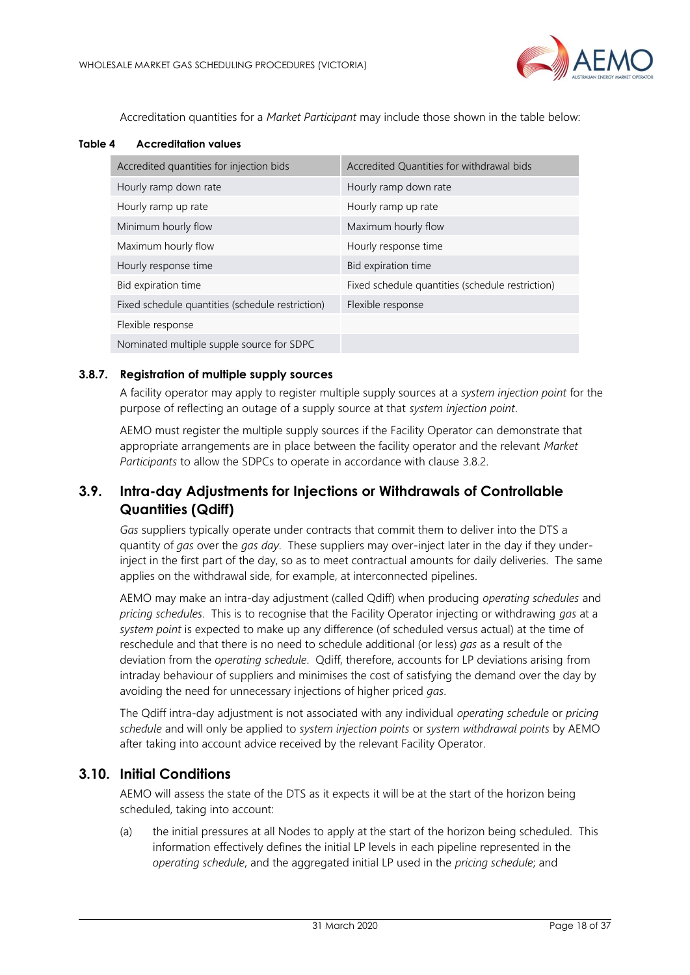

Accreditation quantities for a *Market Participant* may include those shown in the table below:

#### <span id="page-17-2"></span>**Table 4 Accreditation values**

| Accredited quantities for injection bids         | Accredited Quantities for withdrawal bids        |
|--------------------------------------------------|--------------------------------------------------|
| Hourly ramp down rate                            | Hourly ramp down rate                            |
| Hourly ramp up rate                              | Hourly ramp up rate                              |
| Minimum hourly flow                              | Maximum hourly flow                              |
| Maximum hourly flow                              | Hourly response time                             |
| Hourly response time                             | Bid expiration time                              |
| Bid expiration time                              | Fixed schedule quantities (schedule restriction) |
| Fixed schedule quantities (schedule restriction) | Flexible response                                |
| Flexible response                                |                                                  |
| Nominated multiple supple source for SDPC        |                                                  |

### <span id="page-17-3"></span>**3.8.7. Registration of multiple supply sources**

A facility operator may apply to register multiple supply sources at a *system injection point* for the purpose of reflecting an outage of a supply source at that *system injection point*.

AEMO must register the multiple supply sources if the Facility Operator can demonstrate that appropriate arrangements are in place between the facility operator and the relevant *Market Participants* to allow the SDPCs to operate in accordance with clause [3.8.2.](#page-15-0)

# <span id="page-17-0"></span>**3.9. Intra-day Adjustments for Injections or Withdrawals of Controllable Quantities (Qdiff)**

*Gas* suppliers typically operate under contracts that commit them to deliver into the DTS a quantity of *gas* over the *gas day*. These suppliers may over-inject later in the day if they underinject in the first part of the day, so as to meet contractual amounts for daily deliveries. The same applies on the withdrawal side, for example, at interconnected pipelines.

AEMO may make an intra-day adjustment (called Qdiff) when producing *operating schedules* and *pricing schedules*. This is to recognise that the Facility Operator injecting or withdrawing *gas* at a *system point* is expected to make up any difference (of scheduled versus actual) at the time of reschedule and that there is no need to schedule additional (or less) *gas* as a result of the deviation from the *operating schedule*. Qdiff, therefore, accounts for LP deviations arising from intraday behaviour of suppliers and minimises the cost of satisfying the demand over the day by avoiding the need for unnecessary injections of higher priced *gas*.

The Qdiff intra-day adjustment is not associated with any individual *operating schedule* or *pricing schedule* and will only be applied to *system injection points* or *system withdrawal points* by AEMO after taking into account advice received by the relevant Facility Operator.

### <span id="page-17-1"></span>**3.10. Initial Conditions**

AEMO will assess the state of the DTS as it expects it will be at the start of the horizon being scheduled, taking into account:

(a) the initial pressures at all Nodes to apply at the start of the horizon being scheduled. This information effectively defines the initial LP levels in each pipeline represented in the *operating schedule*, and the aggregated initial LP used in the *pricing schedule*; and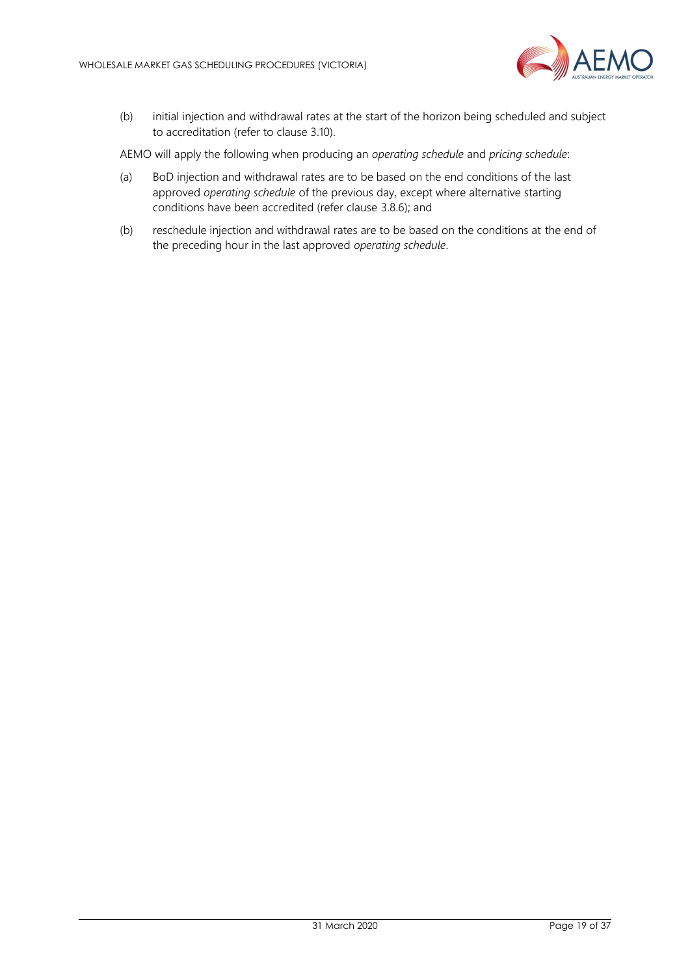

(b) initial injection and withdrawal rates at the start of the horizon being scheduled and subject to accreditation (refer to clause 3.10).

AEMO will apply the following when producing an *operating schedule* and *pricing schedule*:

- (a) BoD injection and withdrawal rates are to be based on the end conditions of the last approved *operating schedule* of the previous day, except where alternative starting conditions have been accredited (refer clause [3.8.6\)](#page-16-0); and
- (b) reschedule injection and withdrawal rates are to be based on the conditions at the end of the preceding hour in the last approved *operating schedule*.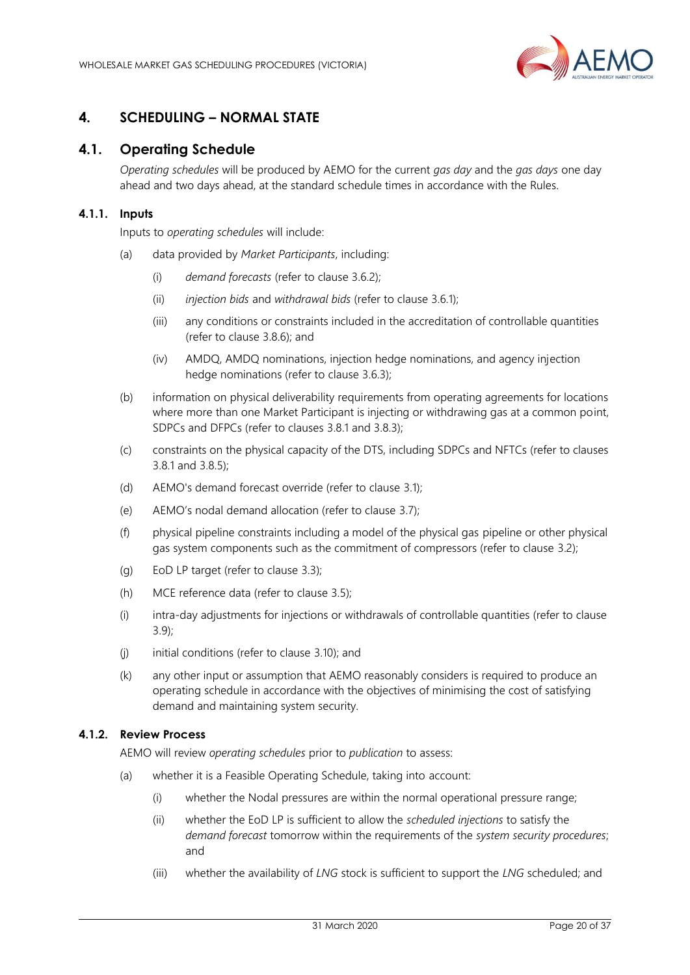

# <span id="page-19-3"></span><span id="page-19-0"></span>**4. SCHEDULING – NORMAL STATE**

### <span id="page-19-1"></span>**4.1. Operating Schedule**

*Operating schedules* will be produced by AEMO for the current *gas day* and the *gas days* one day ahead and two days ahead, at the standard schedule times in accordance with the Rules.

#### **4.1.1. Inputs**

Inputs to *operating schedules* will include:

- (a) data provided by *Market Participants*, including:
	- (i) *demand forecasts* (refer to clause [3.6.2\)](#page-13-0);
	- (ii) *injection bids* and *withdrawal bids* (refer to clause [3.6.1\)](#page-12-3);
	- (iii) any conditions or constraints included in the accreditation of controllable quantities (refer to clause [3.8.6\)](#page-16-0); and
	- (iv) AMDQ, AMDQ nominations, injection hedge nominations, and agency injection hedge nominations (refer to clause [3.6.3\)](#page-13-1);
- (b) information on physical deliverability requirements from operating agreements for locations where more than one Market Participant is injecting or withdrawing gas at a common point, SDPCs and DFPCs (refer to clauses [3.8.1](#page-14-2) an[d 3.8.3\)](#page-15-1);
- (c) constraints on the physical capacity of the DTS, including SDPCs and NFTCs (refer to clauses [3.8.1](#page-14-2) and [3.8.5\)](#page-16-1);
- (d) AEMO's demand forecast override (refer to clause [3.1\)](#page-10-1);
- (e) AEMO's nodal demand allocation (refer to clause [3.7\)](#page-14-0);
- (f) physical pipeline constraints including a model of the physical gas pipeline or other physical gas system components such as the commitment of compressors (refer to clause [3.2\)](#page-10-2);
- (g) EoD LP target (refer to clause [3.3\)](#page-11-0);
- (h) MCE reference data (refer to clause [3.5\)](#page-12-1);
- (i) intra-day adjustments for injections or withdrawals of controllable quantities (refer to clause [3.9\)](#page-17-0);
- (j) initial conditions (refer to clause [3.10\)](#page-17-1); and
- (k) any other input or assumption that AEMO reasonably considers is required to produce an operating schedule in accordance with the objectives of minimising the cost of satisfying demand and maintaining system security.

#### <span id="page-19-2"></span>**4.1.2. Review Process**

AEMO will review *operating schedules* prior to *publication* to assess:

- (a) whether it is a Feasible Operating Schedule, taking into account:
	- (i) whether the Nodal pressures are within the normal operational pressure range;
	- (ii) whether the EoD LP is sufficient to allow the *scheduled injections* to satisfy the *demand forecast* tomorrow within the requirements of the *system security procedures*; and
	- (iii) whether the availability of *LNG* stock is sufficient to support the *LNG* scheduled; and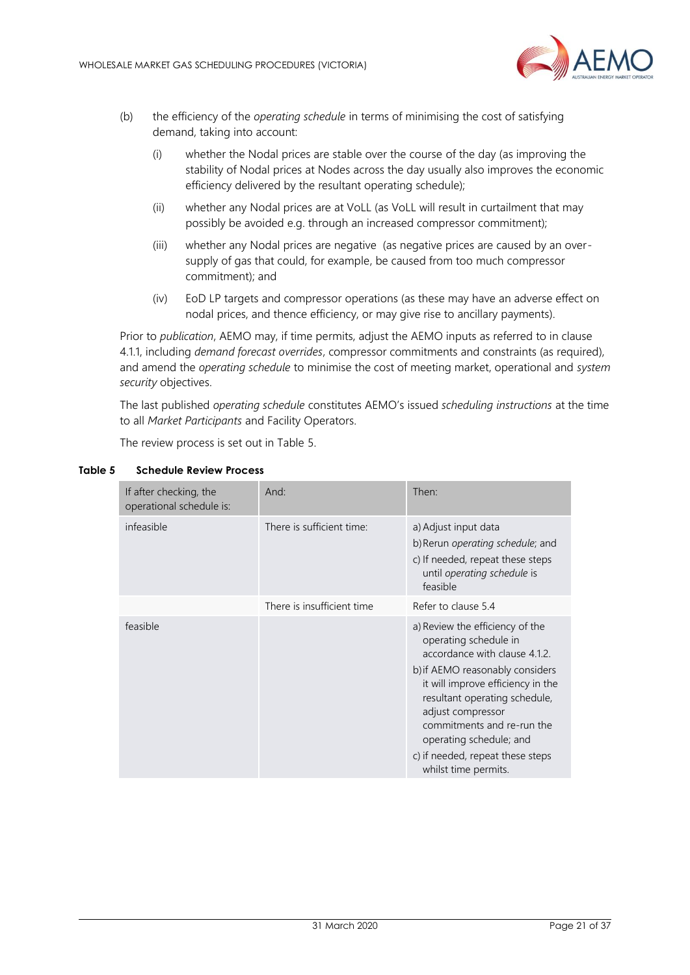

- (b) the efficiency of the *operating schedule* in terms of minimising the cost of satisfying demand, taking into account:
	- (i) whether the Nodal prices are stable over the course of the day (as improving the stability of Nodal prices at Nodes across the day usually also improves the economic efficiency delivered by the resultant operating schedule);
	- (ii) whether any Nodal prices are at VoLL (as VoLL will result in curtailment that may possibly be avoided e.g. through an increased compressor commitment);
	- (iii) whether any Nodal prices are negative (as negative prices are caused by an oversupply of gas that could, for example, be caused from too much compressor commitment); and
	- (iv) EoD LP targets and compressor operations (as these may have an adverse effect on nodal prices, and thence efficiency, or may give rise to ancillary payments).

Prior to *publication*, AEMO may, if time permits, adjust the AEMO inputs as referred to in clause 4.1.1, including *demand forecast overrides*, compressor commitments and constraints (as required), and amend the *operating schedule* to minimise the cost of meeting market, operational and *system security* objectives.

The last published *operating schedule* constitutes AEMO's issued *scheduling instructions* at the time to all *Market Participants* and Facility Operators.

The review process is set out in Table 5.

| If after checking, the<br>operational schedule is: | And:                       | Then:                                                                                                                                                                                                                                                                                                                                        |
|----------------------------------------------------|----------------------------|----------------------------------------------------------------------------------------------------------------------------------------------------------------------------------------------------------------------------------------------------------------------------------------------------------------------------------------------|
| infeasible                                         | There is sufficient time:  | a) Adjust input data<br>b) Rerun operating schedule; and<br>c) If needed, repeat these steps<br>until operating schedule is<br>feasible                                                                                                                                                                                                      |
|                                                    | There is insufficient time | Refer to clause 5.4                                                                                                                                                                                                                                                                                                                          |
| feasible                                           |                            | a) Review the efficiency of the<br>operating schedule in<br>accordance with clause 4.1.2.<br>b) if AEMO reasonably considers<br>it will improve efficiency in the<br>resultant operating schedule,<br>adjust compressor<br>commitments and re-run the<br>operating schedule; and<br>c) if needed, repeat these steps<br>whilst time permits. |

#### <span id="page-20-0"></span>**Table 5 Schedule Review Process**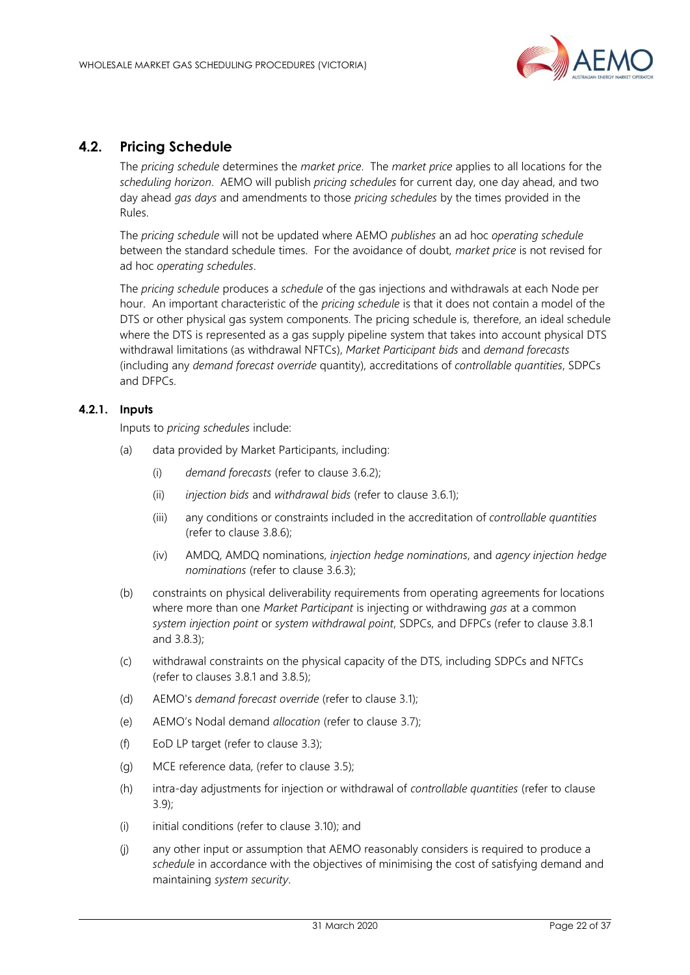

# <span id="page-21-1"></span><span id="page-21-0"></span>**4.2. Pricing Schedule**

The *pricing schedule* determines the *market price*. The *market price* applies to all locations for the *scheduling horizon*. AEMO will publish *pricing schedules* for current day, one day ahead, and two day ahead *gas days* and amendments to those *pricing schedules* by the times provided in the Rules.

The *pricing schedule* will not be updated where AEMO *publishes* an ad hoc *operating schedule* between the standard schedule times. For the avoidance of doubt, *market price* is not revised for ad hoc *operating schedules*.

The *pricing schedule* produces a *schedule* of the gas injections and withdrawals at each Node per hour. An important characteristic of the *pricing schedule* is that it does not contain a model of the DTS or other physical gas system components. The pricing schedule is, therefore, an ideal schedule where the DTS is represented as a gas supply pipeline system that takes into account physical DTS withdrawal limitations (as withdrawal NFTCs), *Market Participant bids* and *demand forecasts* (including any *demand forecast override* quantity), accreditations of *controllable quantities*, SDPCs and DFPCs.

### **4.2.1. Inputs**

Inputs to *pricing schedules* include:

- (a) data provided by Market Participants, including:
	- (i) *demand forecasts* (refer to clause [3.6.2\)](#page-13-0);
	- (ii) *injection bids* and *withdrawal bids* (refer to clause [3.6.1\)](#page-12-3);
	- (iii) any conditions or constraints included in the accreditation of *controllable quantities* (refer to clause [3.8.6\)](#page-16-0);
	- (iv) AMDQ, AMDQ nominations, *injection hedge nominations*, and *agency injection hedge nominations* (refer to clause [3.6.3\)](#page-13-1);
- (b) constraints on physical deliverability requirements from operating agreements for locations where more than one *Market Participant* is injecting or withdrawing *gas* at a common *system injection point* or *system withdrawal point*, SDPCs, and DFPCs (refer to clause [3.8.1](#page-14-2) and [3.8.3\)](#page-15-1);
- (c) withdrawal constraints on the physical capacity of the DTS, including SDPCs and NFTCs (refer to clauses [3.8.1](#page-14-2) and [3.8.5\)](#page-16-1);
- (d) AEMO's *demand forecast override* (refer to clause [3.1\)](#page-10-1);
- (e) AEMO's Nodal demand *allocation* (refer to claus[e 3.7\)](#page-14-0);
- (f) EoD LP target (refer to clause [3.3\)](#page-11-0);
- (g) MCE reference data, (refer to clause [3.5\)](#page-12-1);
- (h) intra-day adjustments for injection or withdrawal of *controllable quantities* (refer to clause [3.9\)](#page-17-0);
- (i) initial conditions (refer to clause [3.10\)](#page-17-1); and
- (j) any other input or assumption that AEMO reasonably considers is required to produce a *schedule* in accordance with the objectives of minimising the cost of satisfying demand and maintaining *system security*.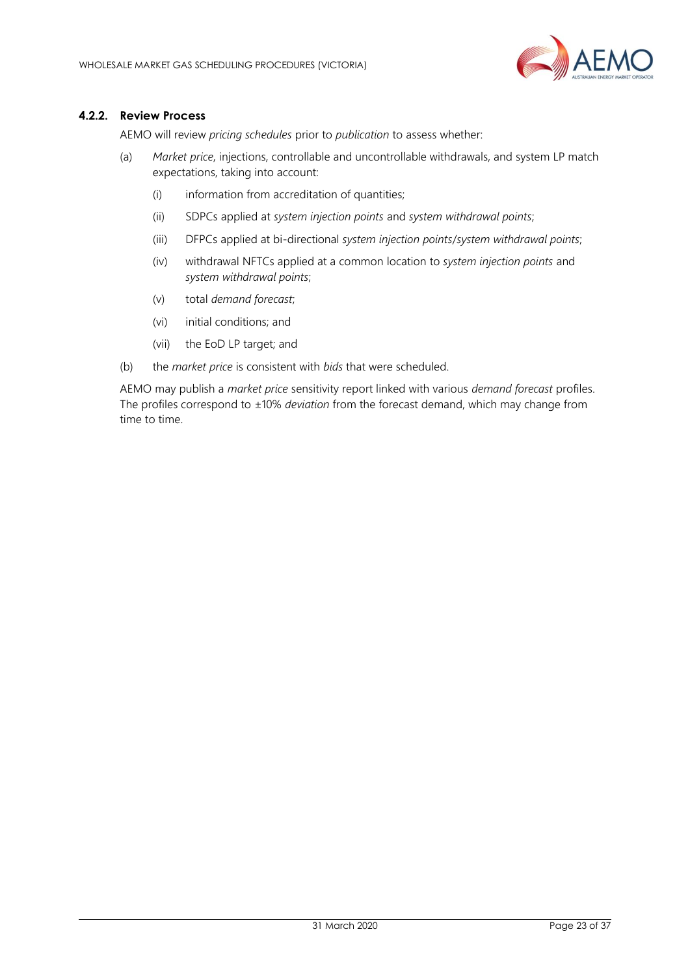

### **4.2.2. Review Process**

AEMO will review *pricing schedules* prior to *publication* to assess whether:

- (a) *Market price*, injections, controllable and uncontrollable withdrawals, and system LP match expectations, taking into account:
	- (i) information from accreditation of quantities;
	- (ii) SDPCs applied at *system injection points* and *system withdrawal points*;
	- (iii) DFPCs applied at bi-directional *system injection points*/*system withdrawal points*;
	- (iv) withdrawal NFTCs applied at a common location to *system injection points* and *system withdrawal points*;
	- (v) total *demand forecast*;
	- (vi) initial conditions; and
	- (vii) the EoD LP target; and
- (b) the *market price* is consistent with *bids* that were scheduled.

AEMO may publish a *market price* sensitivity report linked with various *demand forecast* profiles. The profiles correspond to ±10% *deviation* from the forecast demand, which may change from time to time.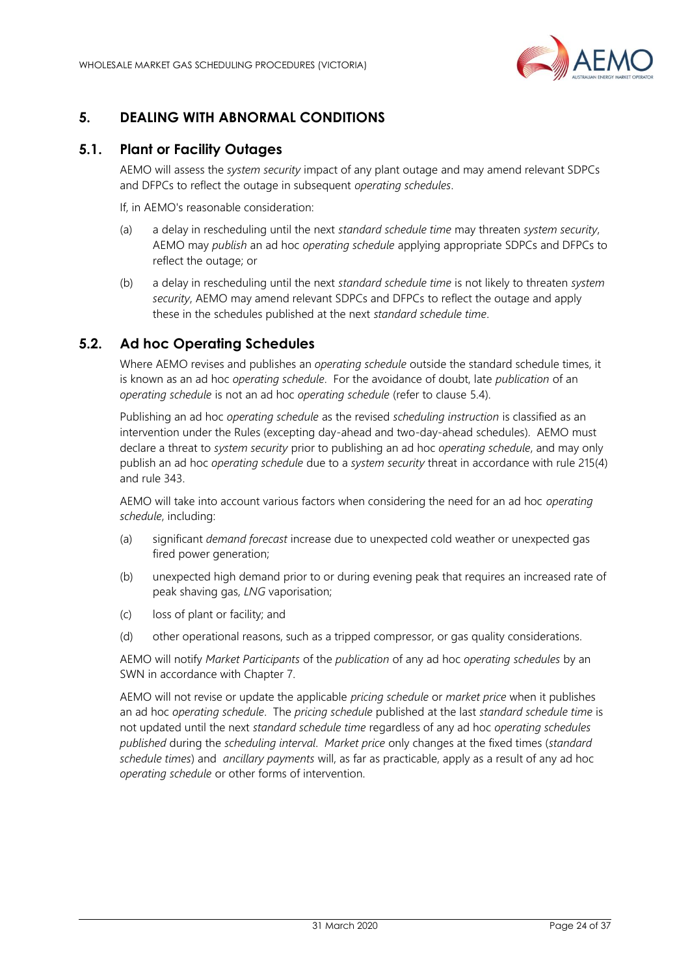

# <span id="page-23-0"></span>**5. DEALING WITH ABNORMAL CONDITIONS**

### <span id="page-23-1"></span>**5.1. Plant or Facility Outages**

AEMO will assess the *system security* impact of any plant outage and may amend relevant SDPCs and DFPCs to reflect the outage in subsequent *operating schedules*.

If, in AEMO's reasonable consideration:

- (a) a delay in rescheduling until the next *standard schedule time* may threaten *system security*, AEMO may *publish* an ad hoc *operating schedule* applying appropriate SDPCs and DFPCs to reflect the outage; or
- (b) a delay in rescheduling until the next *standard schedule time* is not likely to threaten *system security*, AEMO may amend relevant SDPCs and DFPCs to reflect the outage and apply these in the schedules published at the next *standard schedule time*.

# <span id="page-23-2"></span>**5.2. Ad hoc Operating Schedules**

Where AEMO revises and publishes an *operating schedule* outside the standard schedule times, it is known as an ad hoc *operating schedule*. For the avoidance of doubt, late *publication* of an *operating schedule* is not an ad hoc *operating schedule* (refer to clause [5.4\)](#page-27-0).

Publishing an ad hoc *operating schedule* as the revised *scheduling instruction* is classified as an intervention under the Rules (excepting day-ahead and two-day-ahead schedules). AEMO must declare a threat to *system security* prior to publishing an ad hoc *operating schedule*, and may only publish an ad hoc *operating schedule* due to a *system security* threat in accordance with rule 215(4) and rule 343.

AEMO will take into account various factors when considering the need for an ad hoc *operating schedule*, including:

- (a) significant *demand forecast* increase due to unexpected cold weather or unexpected gas fired power generation;
- (b) unexpected high demand prior to or during evening peak that requires an increased rate of peak shaving gas, *LNG* vaporisation;
- (c) loss of plant or facility; and
- (d) other operational reasons, such as a tripped compressor, or gas quality considerations.

AEMO will notify *Market Participants* of the *publication* of any ad hoc *operating schedules* by an SWN in accordance with Chapter [7.](#page-36-0) 

AEMO will not revise or update the applicable *pricing schedule* or *market price* when it publishes an ad hoc *operating schedule*. The *pricing schedule* published at the last *standard schedule time* is not updated until the next *standard schedule time* regardless of any ad hoc *operating schedules published* during the *scheduling interval*. *Market price* only changes at the fixed times (*standard schedule times*) and *ancillary payments* will, as far as practicable, apply as a result of any ad hoc *operating schedule* or other forms of intervention.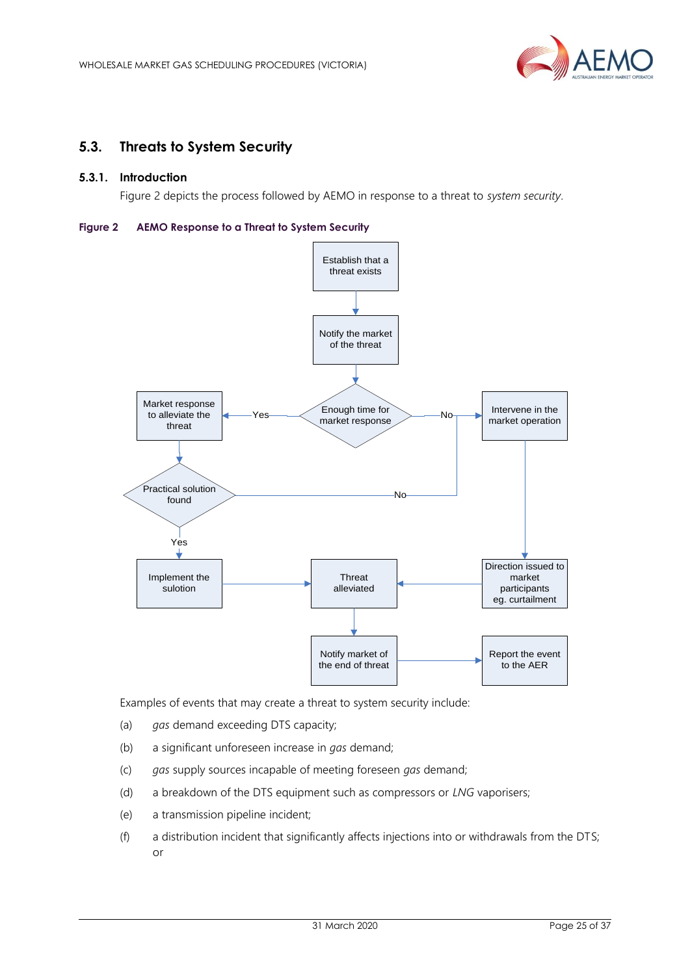

# <span id="page-24-0"></span>**5.3. Threats to System Security**

### **5.3.1. Introduction**

Figure 2 depicts the process followed by AEMO in response to a threat to *system security*.

#### <span id="page-24-1"></span>**Figure 2 AEMO Response to a Threat to System Security**



Examples of events that may create a threat to system security include:

- (a) *gas* demand exceeding DTS capacity;
- (b) a significant unforeseen increase in *gas* demand;
- (c) *gas* supply sources incapable of meeting foreseen *gas* demand;
- (d) a breakdown of the DTS equipment such as compressors or *LNG* vaporisers;
- (e) a transmission pipeline incident;
- (f) a distribution incident that significantly affects injections into or withdrawals from the DTS; or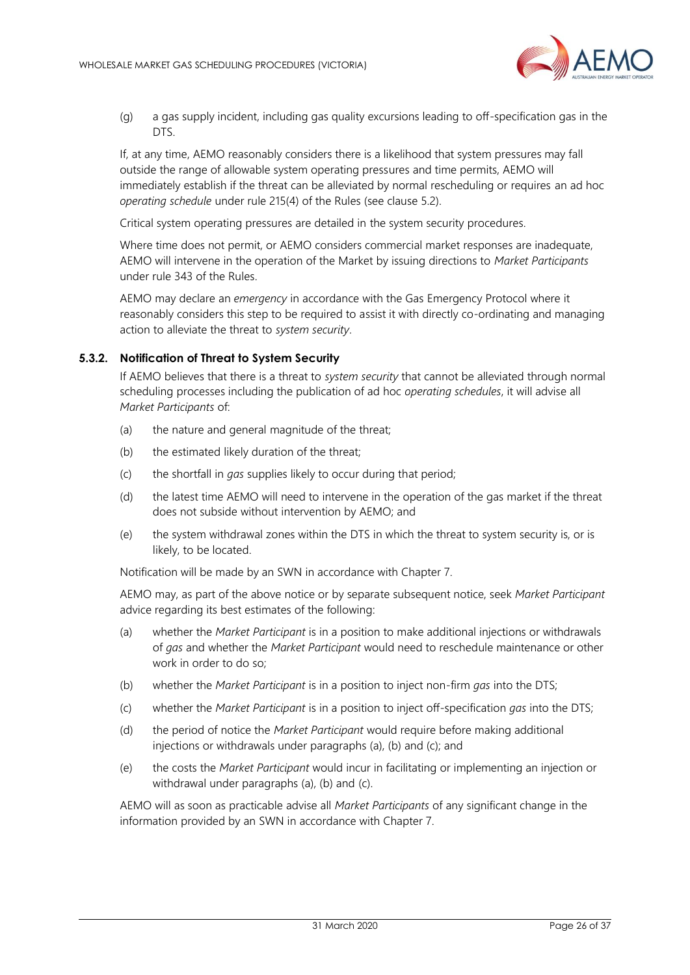

(g) a gas supply incident, including gas quality excursions leading to off-specification gas in the DTS.

If, at any time, AEMO reasonably considers there is a likelihood that system pressures may fall outside the range of allowable system operating pressures and time permits, AEMO will immediately establish if the threat can be alleviated by normal rescheduling or requires an ad hoc *operating schedule* under rule 215(4) of the Rules (see clause 5.2).

Critical system operating pressures are detailed in the system security procedures.

Where time does not permit, or AEMO considers commercial market responses are inadequate, AEMO will intervene in the operation of the Market by issuing directions to *Market Participants* under rule 343 of the Rules.

AEMO may declare an *emergency* in accordance with the Gas Emergency Protocol where it reasonably considers this step to be required to assist it with directly co-ordinating and managing action to alleviate the threat to *system security*.

#### **5.3.2. Notification of Threat to System Security**

If AEMO believes that there is a threat to *system security* that cannot be alleviated through normal scheduling processes including the publication of ad hoc *operating schedules*, it will advise all *Market Participants* of:

- (a) the nature and general magnitude of the threat;
- (b) the estimated likely duration of the threat;
- (c) the shortfall in *gas* supplies likely to occur during that period;
- (d) the latest time AEMO will need to intervene in the operation of the gas market if the threat does not subside without intervention by AEMO; and
- (e) the system withdrawal zones within the DTS in which the threat to system security is, or is likely, to be located.

Notification will be made by an SWN in accordance with Chapter 7.

AEMO may, as part of the above notice or by separate subsequent notice, seek *Market Participant* advice regarding its best estimates of the following:

- (a) whether the *Market Participant* is in a position to make additional injections or withdrawals of *gas* and whether the *Market Participant* would need to reschedule maintenance or other work in order to do so;
- (b) whether the *Market Participant* is in a position to inject non-firm *gas* into the DTS;
- (c) whether the *Market Participant* is in a position to inject off-specification *gas* into the DTS;
- (d) the period of notice the *Market Participant* would require before making additional injections or withdrawals under paragraphs (a), (b) and (c); and
- (e) the costs the *Market Participant* would incur in facilitating or implementing an injection or withdrawal under paragraphs (a), (b) and (c).

AEMO will as soon as practicable advise all *Market Participants* of any significant change in the information provided by an SWN in accordance with Chapter 7.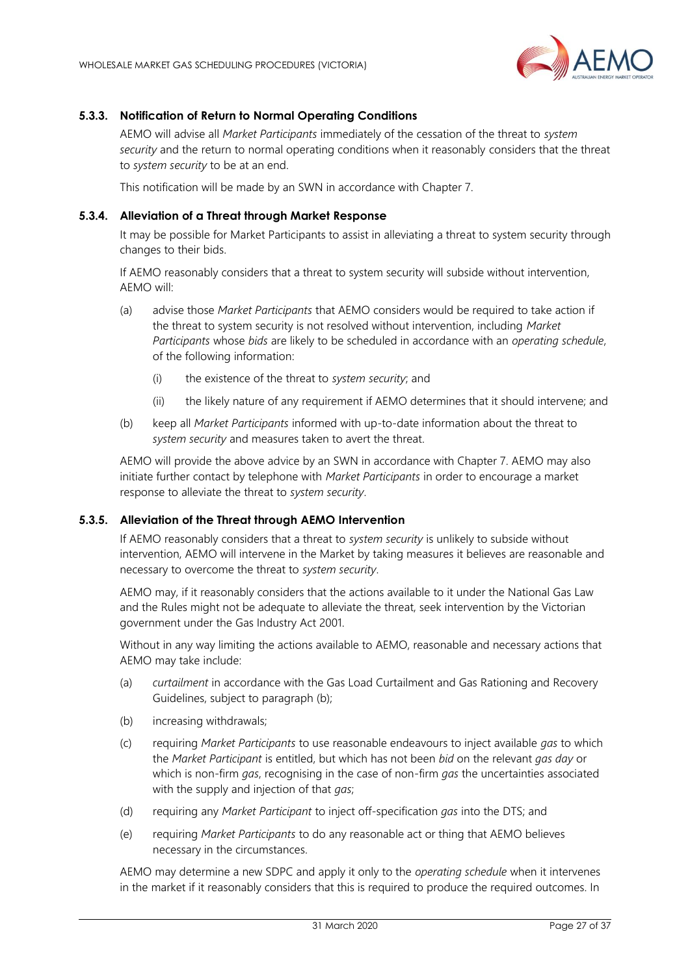

### **5.3.3. Notification of Return to Normal Operating Conditions**

AEMO will advise all *Market Participants* immediately of the cessation of the threat to *system security* and the return to normal operating conditions when it reasonably considers that the threat to *system security* to be at an end.

This notification will be made by an SWN in accordance with Chapter 7.

#### <span id="page-26-0"></span>**5.3.4. Alleviation of a Threat through Market Response**

It may be possible for Market Participants to assist in alleviating a threat to system security through changes to their bids.

If AEMO reasonably considers that a threat to system security will subside without intervention, AEMO will:

- (a) advise those *Market Participants* that AEMO considers would be required to take action if the threat to system security is not resolved without intervention, including *Market Participants* whose *bids* are likely to be scheduled in accordance with an *operating schedule*, of the following information:
	- (i) the existence of the threat to *system security*; and
	- (ii) the likely nature of any requirement if AEMO determines that it should intervene; and
- (b) keep all *Market Participants* informed with up-to-date information about the threat to *system security* and measures taken to avert the threat.

AEMO will provide the above advice by an SWN in accordance with Chapter 7. AEMO may also initiate further contact by telephone with *Market Participants* in order to encourage a market response to alleviate the threat to *system security*.

#### **5.3.5. Alleviation of the Threat through AEMO Intervention**

If AEMO reasonably considers that a threat to *system security* is unlikely to subside without intervention, AEMO will intervene in the Market by taking measures it believes are reasonable and necessary to overcome the threat to *system security*.

AEMO may, if it reasonably considers that the actions available to it under the National Gas Law and the Rules might not be adequate to alleviate the threat, seek intervention by the Victorian government under the Gas Industry Act 2001.

Without in any way limiting the actions available to AEMO, reasonable and necessary actions that AEMO may take include:

- (a) *curtailment* in accordance with the Gas Load Curtailment and Gas Rationing and Recovery Guidelines, subject to paragraph (b);
- (b) increasing withdrawals;
- (c) requiring *Market Participants* to use reasonable endeavours to inject available *gas* to which the *Market Participant* is entitled, but which has not been *bid* on the relevant *gas day* or which is non-firm *gas*, recognising in the case of non-firm *gas* the uncertainties associated with the supply and injection of that *gas*;
- (d) requiring any *Market Participant* to inject off-specification *gas* into the DTS; and
- (e) requiring *Market Participants* to do any reasonable act or thing that AEMO believes necessary in the circumstances.

AEMO may determine a new SDPC and apply it only to the *operating schedule* when it intervenes in the market if it reasonably considers that this is required to produce the required outcomes. In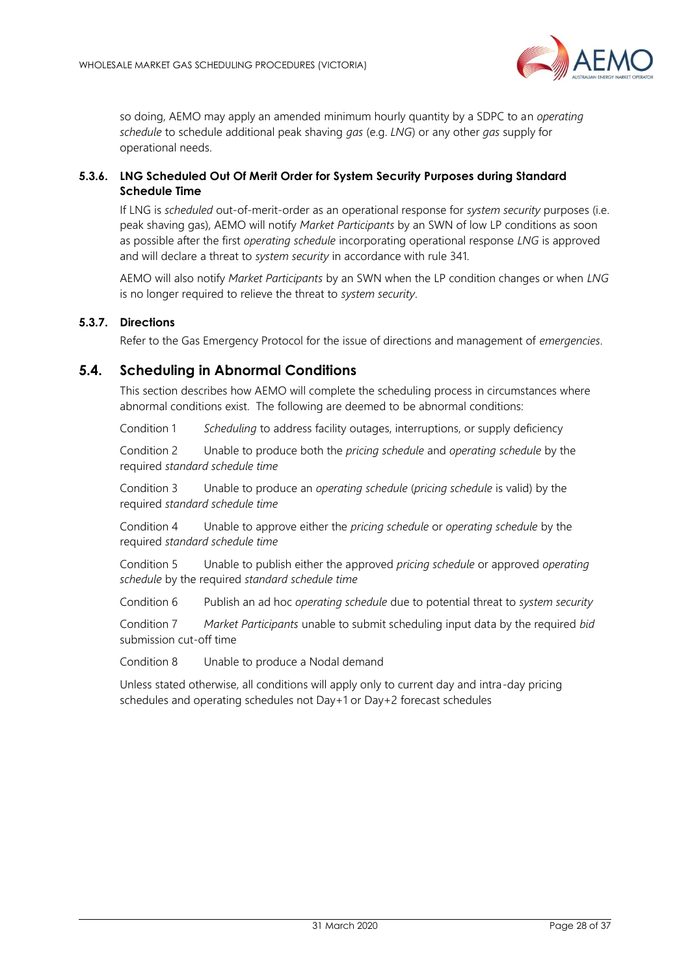

<span id="page-27-2"></span><span id="page-27-1"></span>so doing, AEMO may apply an amended minimum hourly quantity by a SDPC to an *operating schedule* to schedule additional peak shaving *gas* (e.g. *LNG*) or any other *gas* supply for operational needs.

### **5.3.6. LNG Scheduled Out Of Merit Order for System Security Purposes during Standard Schedule Time**

If LNG is *scheduled* out-of-merit-order as an operational response for *system security* purposes (i.e. peak shaving gas), AEMO will notify *Market Participants* by an SWN of low LP conditions as soon as possible after the first *operating schedule* incorporating operational response *LNG* is approved and will declare a threat to *system security* in accordance with rule 341.

AEMO will also notify *Market Participants* by an SWN when the LP condition changes or when *LNG* is no longer required to relieve the threat to *system security*.

### **5.3.7. Directions**

Refer to the Gas Emergency Protocol for the issue of directions and management of *emergencies*.

### <span id="page-27-0"></span>**5.4. Scheduling in Abnormal Conditions**

This section describes how AEMO will complete the scheduling process in circumstances where abnormal conditions exist. The following are deemed to be abnormal conditions:

Condition 1 *Scheduling* to address facility outages, interruptions, or supply deficiency

Condition 2 Unable to produce both the *pricing schedule* and *operating schedule* by the required *standard schedule time*

Condition 3 Unable to produce an *operating schedule* (*pricing schedule* is valid) by the required *standard schedule time*

Condition 4 Unable to approve either the *pricing schedule* or *operating schedule* by the required *standard schedule time*

Condition 5 Unable to publish either the approved *pricing schedule* or approved *operating schedule* by the required *standard schedule time*

Condition 6 Publish an ad hoc *operating schedule* due to potential threat to *system security*

Condition 7 *Market Participants* unable to submit scheduling input data by the required *bid* submission cut-off time

Condition 8 Unable to produce a Nodal demand

Unless stated otherwise, all conditions will apply only to current day and intra-day pricing schedules and operating schedules not Day+1 or Day+2 forecast schedules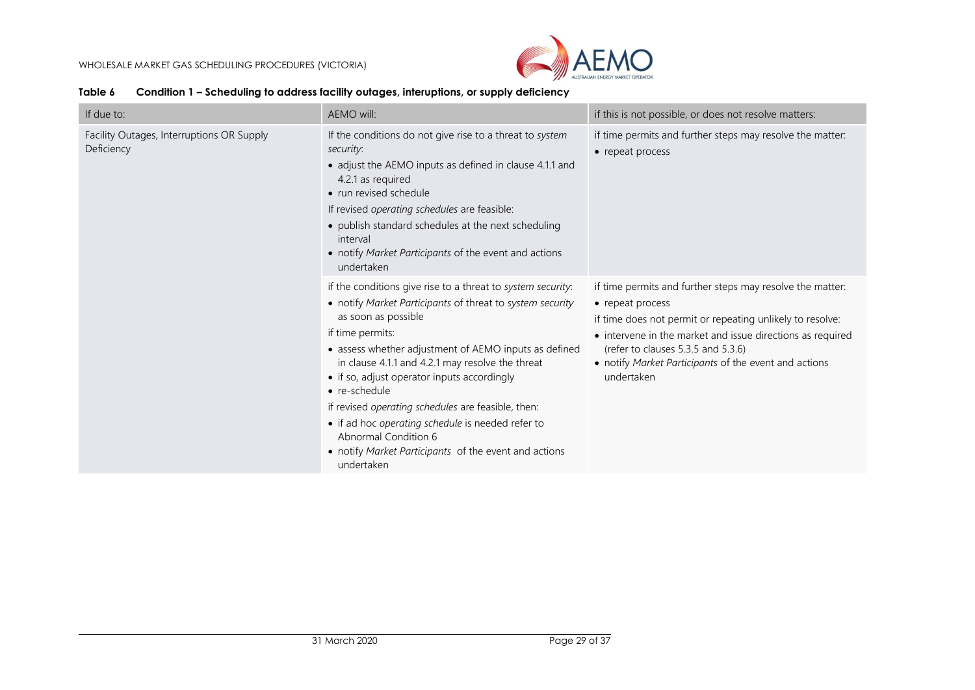

| Condition 1 – Scheduling to address facility outages, interuptions, or supply deficiency | Table 6 |  |  |  |  |  |  |
|------------------------------------------------------------------------------------------|---------|--|--|--|--|--|--|
|------------------------------------------------------------------------------------------|---------|--|--|--|--|--|--|

<span id="page-28-0"></span>

| If due to:                                              | AEMO will:<br>if this is not possible, or does not resolve matters:                                                                                                                                                                                                                                                                                                                                                                                                                                                                                        |                                                                                                                                                                                                                                                                                                                       |
|---------------------------------------------------------|------------------------------------------------------------------------------------------------------------------------------------------------------------------------------------------------------------------------------------------------------------------------------------------------------------------------------------------------------------------------------------------------------------------------------------------------------------------------------------------------------------------------------------------------------------|-----------------------------------------------------------------------------------------------------------------------------------------------------------------------------------------------------------------------------------------------------------------------------------------------------------------------|
| Facility Outages, Interruptions OR Supply<br>Deficiency | If the conditions do not give rise to a threat to system<br>security:<br>• adjust the AEMO inputs as defined in clause 4.1.1 and<br>4.2.1 as required<br>• run revised schedule<br>If revised operating schedules are feasible:<br>• publish standard schedules at the next scheduling<br>interval<br>• notify Market Participants of the event and actions<br>undertaken                                                                                                                                                                                  | if time permits and further steps may resolve the matter:<br>• repeat process                                                                                                                                                                                                                                         |
|                                                         | if the conditions give rise to a threat to system security.<br>• notify Market Participants of threat to system security<br>as soon as possible<br>if time permits:<br>• assess whether adjustment of AEMO inputs as defined<br>in clause 4.1.1 and 4.2.1 may resolve the threat<br>• if so, adjust operator inputs accordingly<br>• re-schedule<br>if revised operating schedules are feasible, then:<br>• if ad hoc operating schedule is needed refer to<br>Abnormal Condition 6<br>• notify Market Participants of the event and actions<br>undertaken | if time permits and further steps may resolve the matter:<br>• repeat process<br>if time does not permit or repeating unlikely to resolve:<br>• intervene in the market and issue directions as required<br>(refer to clauses 5.3.5 and 5.3.6)<br>• notify Market Participants of the event and actions<br>undertaken |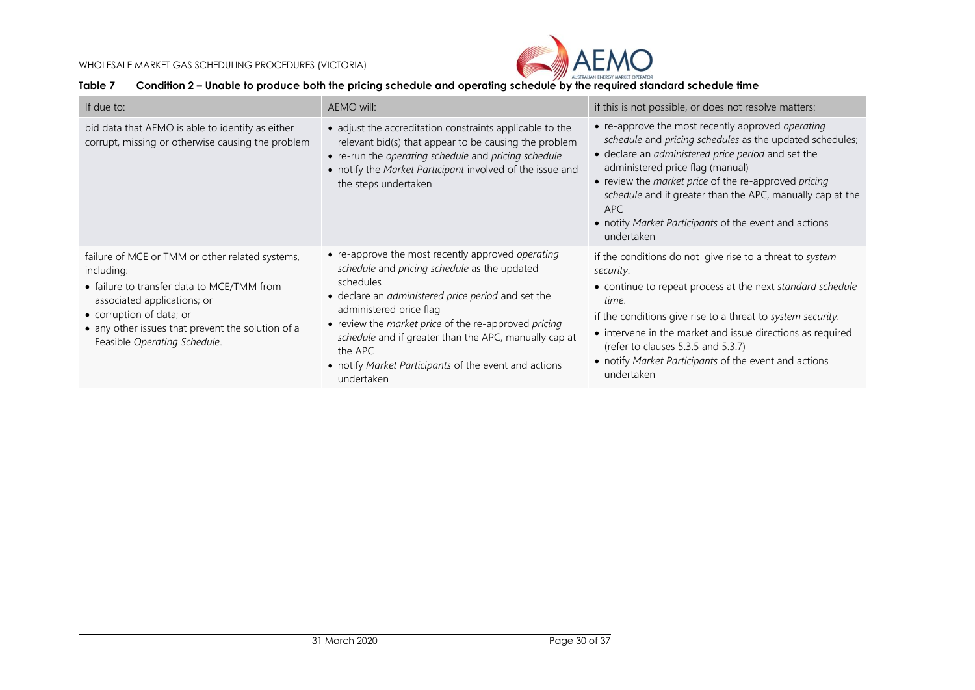

### **Table 7 Condition 2 – Unable to produce both the pricing schedule and operating schedule by the required standard schedule time**

<span id="page-29-0"></span>

| If due to:                                                                                                                                                                                                                                                  | AEMO will:                                                                                                                                                                                                                                                                                                                                                                                         | if this is not possible, or does not resolve matters:                                                                                                                                                                                                                                                                                                                                                       |
|-------------------------------------------------------------------------------------------------------------------------------------------------------------------------------------------------------------------------------------------------------------|----------------------------------------------------------------------------------------------------------------------------------------------------------------------------------------------------------------------------------------------------------------------------------------------------------------------------------------------------------------------------------------------------|-------------------------------------------------------------------------------------------------------------------------------------------------------------------------------------------------------------------------------------------------------------------------------------------------------------------------------------------------------------------------------------------------------------|
| bid data that AEMO is able to identify as either<br>corrupt, missing or otherwise causing the problem                                                                                                                                                       | • adjust the accreditation constraints applicable to the<br>relevant bid(s) that appear to be causing the problem<br>• re-run the operating schedule and pricing schedule<br>• notify the Market Participant involved of the issue and<br>the steps undertaken                                                                                                                                     | • re-approve the most recently approved operating<br>schedule and pricing schedules as the updated schedules;<br>• declare an administered price period and set the<br>administered price flag (manual)<br>• review the market price of the re-approved pricing<br>schedule and if greater than the APC, manually cap at the<br>APC.<br>• notify Market Participants of the event and actions<br>undertaken |
| failure of MCE or TMM or other related systems,<br>including:<br>• failure to transfer data to MCE/TMM from<br>associated applications; or<br>• corruption of data; or<br>• any other issues that prevent the solution of a<br>Feasible Operating Schedule. | • re-approve the most recently approved operating<br>schedule and pricing schedule as the updated<br>schedules<br>• declare an administered price period and set the<br>administered price flag<br>• review the market price of the re-approved pricing<br>schedule and if greater than the APC, manually cap at<br>the APC<br>• notify Market Participants of the event and actions<br>undertaken | if the conditions do not give rise to a threat to system<br>security.<br>• continue to repeat process at the next standard schedule<br>time.<br>if the conditions give rise to a threat to system security:<br>• intervene in the market and issue directions as required<br>(refer to clauses 5.3.5 and 5.3.7)<br>• notify Market Participants of the event and actions<br>undertaken                      |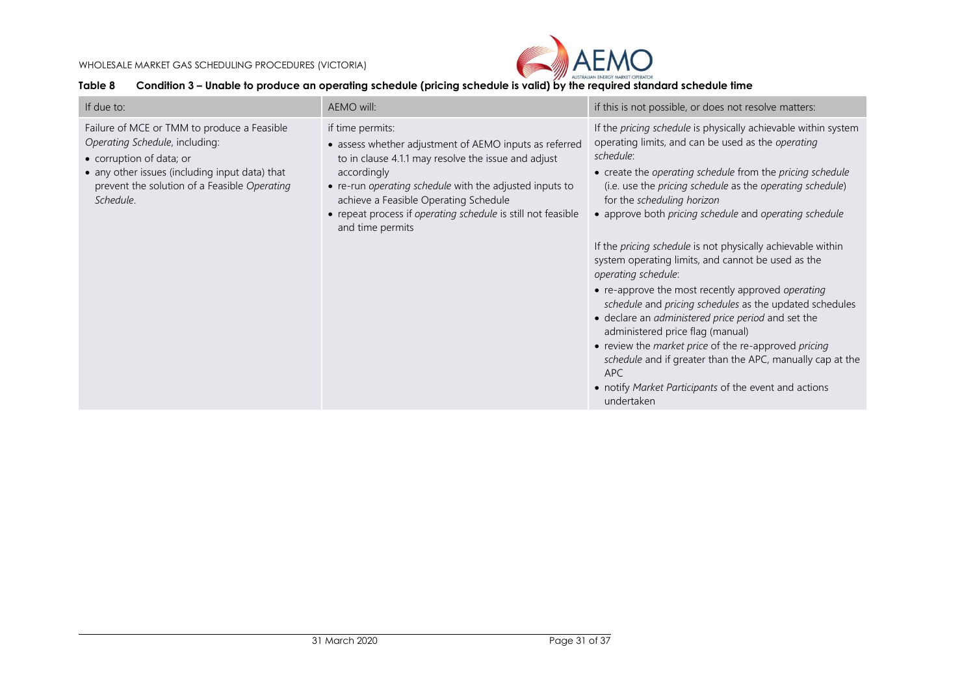

### **Table 8 Condition 3 – Unable to produce an operating schedule (pricing schedule is valid) by the required standard schedule time**

<span id="page-30-0"></span>

| If due to:                                                                                                                                                                                                               | AEMO will:                                                                                                                                                                                                                                                                                                                               | if this is not possible, or does not resolve matters:                                                                                                                                                                                                                                                                                                                                                                                                                                                                                                                                                                                                                                                                                                                                                                                                                                                                       |
|--------------------------------------------------------------------------------------------------------------------------------------------------------------------------------------------------------------------------|------------------------------------------------------------------------------------------------------------------------------------------------------------------------------------------------------------------------------------------------------------------------------------------------------------------------------------------|-----------------------------------------------------------------------------------------------------------------------------------------------------------------------------------------------------------------------------------------------------------------------------------------------------------------------------------------------------------------------------------------------------------------------------------------------------------------------------------------------------------------------------------------------------------------------------------------------------------------------------------------------------------------------------------------------------------------------------------------------------------------------------------------------------------------------------------------------------------------------------------------------------------------------------|
| Failure of MCE or TMM to produce a Feasible<br>Operating Schedule, including:<br>• corruption of data; or<br>• any other issues (including input data) that<br>prevent the solution of a Feasible Operating<br>Schedule. | if time permits:<br>• assess whether adjustment of AEMO inputs as referred<br>to in clause 4.1.1 may resolve the issue and adjust<br>accordingly<br>• re-run operating schedule with the adjusted inputs to<br>achieve a Feasible Operating Schedule<br>• repeat process if operating schedule is still not feasible<br>and time permits | If the pricing schedule is physically achievable within system<br>operating limits, and can be used as the operating<br>schedule:<br>• create the operating schedule from the pricing schedule<br>(i.e. use the <i>pricing schedule</i> as the <i>operating schedule</i> )<br>for the scheduling horizon<br>• approve both pricing schedule and operating schedule<br>If the pricing schedule is not physically achievable within<br>system operating limits, and cannot be used as the<br>operating schedule:<br>• re-approve the most recently approved operating<br>schedule and pricing schedules as the updated schedules<br>• declare an administered price period and set the<br>administered price flag (manual)<br>• review the market price of the re-approved pricing<br>schedule and if greater than the APC, manually cap at the<br>APC<br>• notify Market Participants of the event and actions<br>undertaken |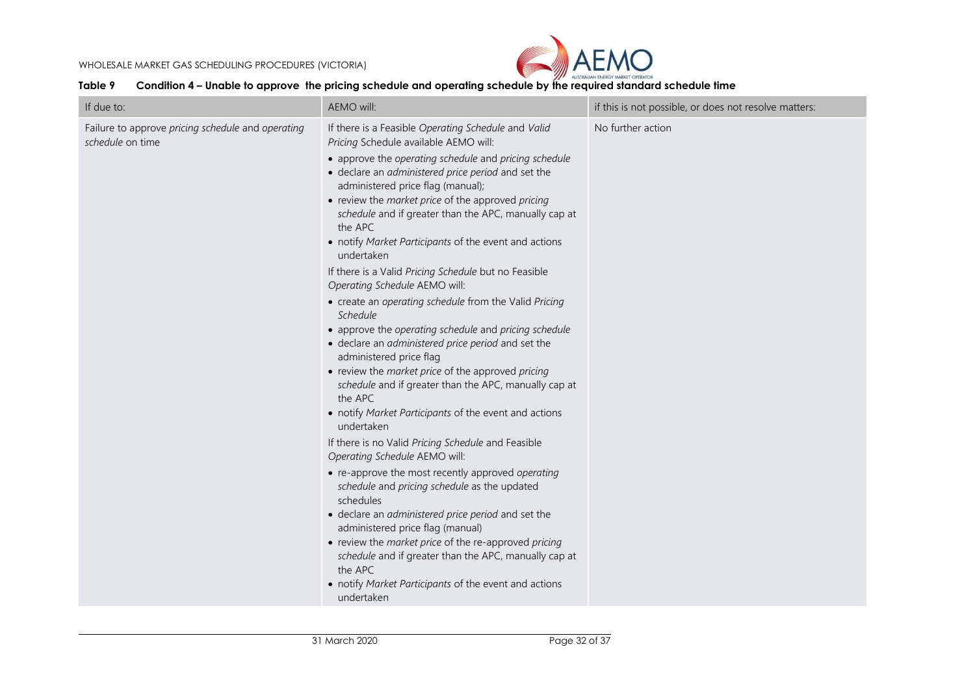

#### **Table 9 Condition 4 – Unable to approve the pricing schedule and operating schedule by the required standard schedule time**

<span id="page-31-0"></span>

| If due to:                                                            | AEMO will:                                                                                                                                                                                                                                                                                                                                                                                                                                                                                                                                                                                                                                                                                                                                                                                                                                                                                                                                                                                                                                                                                                                                                                                                                                                                                                                                                                                                                                                     | if this is not possible, or does not resolve matters: |
|-----------------------------------------------------------------------|----------------------------------------------------------------------------------------------------------------------------------------------------------------------------------------------------------------------------------------------------------------------------------------------------------------------------------------------------------------------------------------------------------------------------------------------------------------------------------------------------------------------------------------------------------------------------------------------------------------------------------------------------------------------------------------------------------------------------------------------------------------------------------------------------------------------------------------------------------------------------------------------------------------------------------------------------------------------------------------------------------------------------------------------------------------------------------------------------------------------------------------------------------------------------------------------------------------------------------------------------------------------------------------------------------------------------------------------------------------------------------------------------------------------------------------------------------------|-------------------------------------------------------|
| Failure to approve pricing schedule and operating<br>schedule on time | If there is a Feasible Operating Schedule and Valid<br>Pricing Schedule available AEMO will:<br>• approve the operating schedule and pricing schedule<br>· declare an administered price period and set the<br>administered price flag (manual);<br>• review the market price of the approved pricing<br>schedule and if greater than the APC, manually cap at<br>the APC<br>• notify Market Participants of the event and actions<br>undertaken<br>If there is a Valid Pricing Schedule but no Feasible<br>Operating Schedule AEMO will:<br>• create an operating schedule from the Valid Pricing<br>Schedule<br>• approve the operating schedule and pricing schedule<br>• declare an administered price period and set the<br>administered price flag<br>• review the market price of the approved pricing<br>schedule and if greater than the APC, manually cap at<br>the APC<br>• notify Market Participants of the event and actions<br>undertaken<br>If there is no Valid Pricing Schedule and Feasible<br>Operating Schedule AEMO will:<br>• re-approve the most recently approved operating<br>schedule and pricing schedule as the updated<br>schedules<br>· declare an administered price period and set the<br>administered price flag (manual)<br>• review the market price of the re-approved pricing<br>schedule and if greater than the APC, manually cap at<br>the APC<br>• notify Market Participants of the event and actions<br>undertaken | No further action                                     |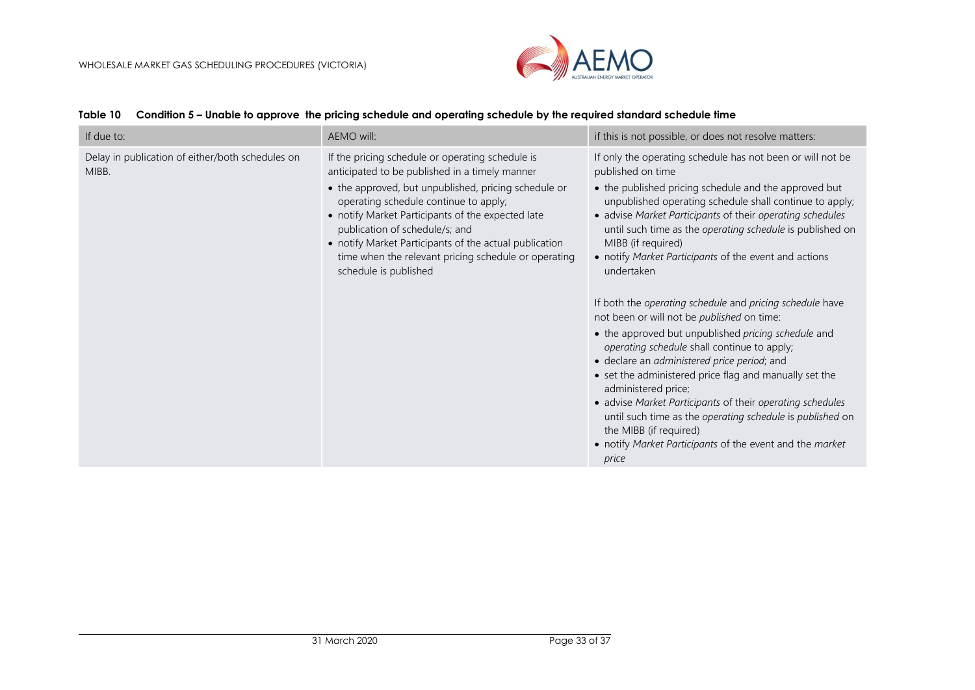

<span id="page-32-0"></span>

| If due to:                                                | AEMO will:                                                                                                                                                                                                                                                                                                                                                                                                                            | if this is not possible, or does not resolve matters:                                                                                                                                                                                                                                                                                                                                                                                                                                                                                       |
|-----------------------------------------------------------|---------------------------------------------------------------------------------------------------------------------------------------------------------------------------------------------------------------------------------------------------------------------------------------------------------------------------------------------------------------------------------------------------------------------------------------|---------------------------------------------------------------------------------------------------------------------------------------------------------------------------------------------------------------------------------------------------------------------------------------------------------------------------------------------------------------------------------------------------------------------------------------------------------------------------------------------------------------------------------------------|
| Delay in publication of either/both schedules on<br>MIBB. | If the pricing schedule or operating schedule is<br>anticipated to be published in a timely manner<br>• the approved, but unpublished, pricing schedule or<br>operating schedule continue to apply;<br>• notify Market Participants of the expected late<br>publication of schedule/s; and<br>• notify Market Participants of the actual publication<br>time when the relevant pricing schedule or operating<br>schedule is published | If only the operating schedule has not been or will not be<br>published on time<br>• the published pricing schedule and the approved but<br>unpublished operating schedule shall continue to apply;<br>• advise Market Participants of their operating schedules<br>until such time as the operating schedule is published on<br>MIBB (if required)<br>• notify Market Participants of the event and actions<br>undertaken<br>If both the operating schedule and pricing schedule have<br>not been or will not be <i>published</i> on time: |
|                                                           |                                                                                                                                                                                                                                                                                                                                                                                                                                       | • the approved but unpublished pricing schedule and<br>operating schedule shall continue to apply;<br>· declare an administered price period; and<br>• set the administered price flag and manually set the<br>administered price;<br>• advise Market Participants of their operating schedules<br>until such time as the operating schedule is published on<br>the MIBB (if required)<br>• notify Market Participants of the event and the market<br>price                                                                                 |

#### **Table 10 Condition 5 – Unable to approve the pricing schedule and operating schedule by the required standard schedule time**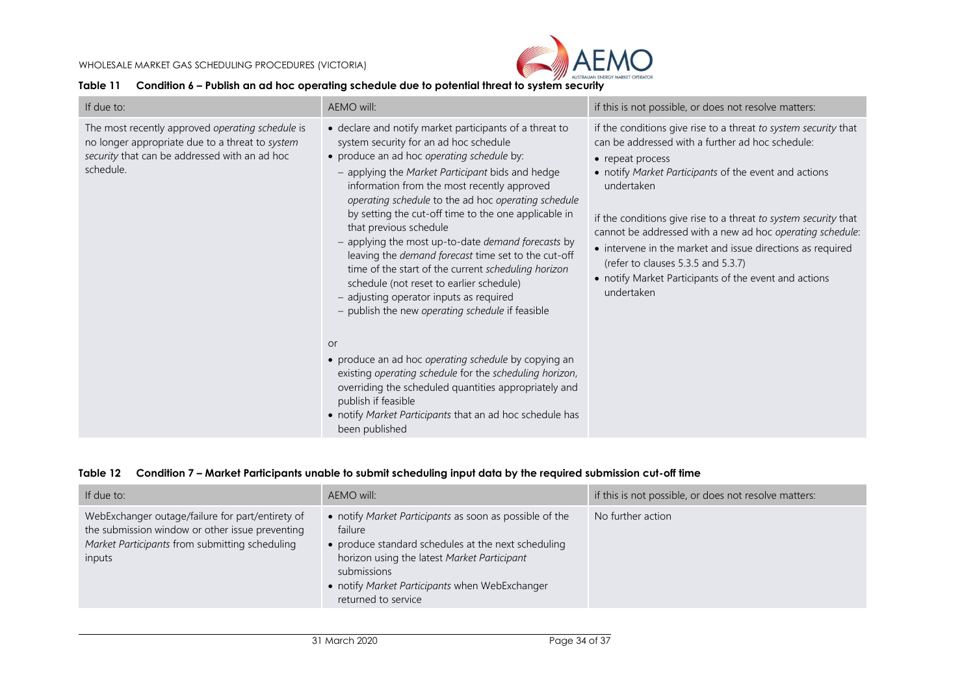

#### **Table 11 Condition 6 – Publish an ad hoc operating schedule due to potential threat to system security**

| If due to:                                                                                                                                                        | AEMO will:                                                                                                                                                                                                                                                                                                                                                                                                                                                                                                                                                                                                                                                                                                                                                                                                                                                                                                                 | if this is not possible, or does not resolve matters:                                                                                                                                                                                                                                                                                                                                                                                                                                                                     |
|-------------------------------------------------------------------------------------------------------------------------------------------------------------------|----------------------------------------------------------------------------------------------------------------------------------------------------------------------------------------------------------------------------------------------------------------------------------------------------------------------------------------------------------------------------------------------------------------------------------------------------------------------------------------------------------------------------------------------------------------------------------------------------------------------------------------------------------------------------------------------------------------------------------------------------------------------------------------------------------------------------------------------------------------------------------------------------------------------------|---------------------------------------------------------------------------------------------------------------------------------------------------------------------------------------------------------------------------------------------------------------------------------------------------------------------------------------------------------------------------------------------------------------------------------------------------------------------------------------------------------------------------|
| The most recently approved operating schedule is<br>no longer appropriate due to a threat to system<br>security that can be addressed with an ad hoc<br>schedule. | • declare and notify market participants of a threat to<br>system security for an ad hoc schedule<br>• produce an ad hoc operating schedule by:<br>- applying the Market Participant bids and hedge<br>information from the most recently approved<br>operating schedule to the ad hoc operating schedule<br>by setting the cut-off time to the one applicable in<br>that previous schedule<br>- applying the most up-to-date demand forecasts by<br>leaving the demand forecast time set to the cut-off<br>time of the start of the current scheduling horizon<br>schedule (not reset to earlier schedule)<br>- adjusting operator inputs as required<br>- publish the new operating schedule if feasible<br><b>or</b><br>• produce an ad hoc operating schedule by copying an<br>existing operating schedule for the scheduling horizon,<br>overriding the scheduled quantities appropriately and<br>publish if feasible | if the conditions give rise to a threat to system security that<br>can be addressed with a further ad hoc schedule:<br>• repeat process<br>• notify Market Participants of the event and actions<br>undertaken<br>if the conditions give rise to a threat to system security that<br>cannot be addressed with a new ad hoc operating schedule:<br>• intervene in the market and issue directions as required<br>(refer to clauses 5.3.5 and 5.3.7)<br>• notify Market Participants of the event and actions<br>undertaken |
|                                                                                                                                                                   | • notify Market Participants that an ad hoc schedule has<br>been published                                                                                                                                                                                                                                                                                                                                                                                                                                                                                                                                                                                                                                                                                                                                                                                                                                                 |                                                                                                                                                                                                                                                                                                                                                                                                                                                                                                                           |

<span id="page-33-0"></span>

|  |  |  |  |  |  | Table 12  Condition 7 – Market Participants unable to submit scheduling input data by the required submission cut-off time |
|--|--|--|--|--|--|----------------------------------------------------------------------------------------------------------------------------|
|--|--|--|--|--|--|----------------------------------------------------------------------------------------------------------------------------|

<span id="page-33-1"></span>

| If due to:                                                                                                                                                      | AEMO will:                                                                                                                                                                                                                                                       | if this is not possible, or does not resolve matters: |
|-----------------------------------------------------------------------------------------------------------------------------------------------------------------|------------------------------------------------------------------------------------------------------------------------------------------------------------------------------------------------------------------------------------------------------------------|-------------------------------------------------------|
| WebExchanger outage/failure for part/entirety of<br>the submission window or other issue preventing<br>Market Participants from submitting scheduling<br>inputs | • notify Market Participants as soon as possible of the<br>failure<br>• produce standard schedules at the next scheduling<br>horizon using the latest Market Participant<br>submissions<br>• notify Market Participants when WebExchanger<br>returned to service | No further action                                     |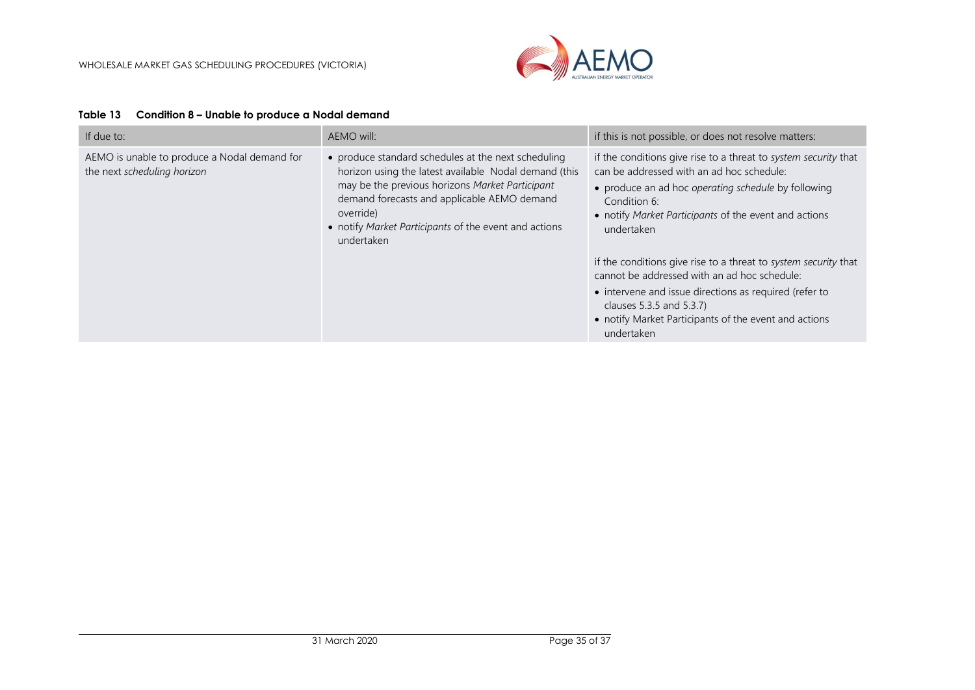

<span id="page-34-0"></span>

| If due to:                                                                  | AEMO will:                                                                                                                                                                                                                                                                                         | if this is not possible, or does not resolve matters:                                                                                                                                                                                                                        |
|-----------------------------------------------------------------------------|----------------------------------------------------------------------------------------------------------------------------------------------------------------------------------------------------------------------------------------------------------------------------------------------------|------------------------------------------------------------------------------------------------------------------------------------------------------------------------------------------------------------------------------------------------------------------------------|
| AEMO is unable to produce a Nodal demand for<br>the next scheduling horizon | • produce standard schedules at the next scheduling<br>horizon using the latest available Nodal demand (this<br>may be the previous horizons Market Participant<br>demand forecasts and applicable AEMO demand<br>override)<br>• notify Market Participants of the event and actions<br>undertaken | if the conditions give rise to a threat to system security that<br>can be addressed with an ad hoc schedule:<br>• produce an ad hoc operating schedule by following<br>Condition 6:<br>• notify Market Participants of the event and actions<br>undertaken                   |
|                                                                             |                                                                                                                                                                                                                                                                                                    | if the conditions give rise to a threat to system security that<br>cannot be addressed with an ad hoc schedule:<br>• intervene and issue directions as required (refer to<br>clauses 5.3.5 and 5.3.7)<br>• notify Market Participants of the event and actions<br>undertaken |

#### **Table 13 Condition 8 – Unable to produce a Nodal demand**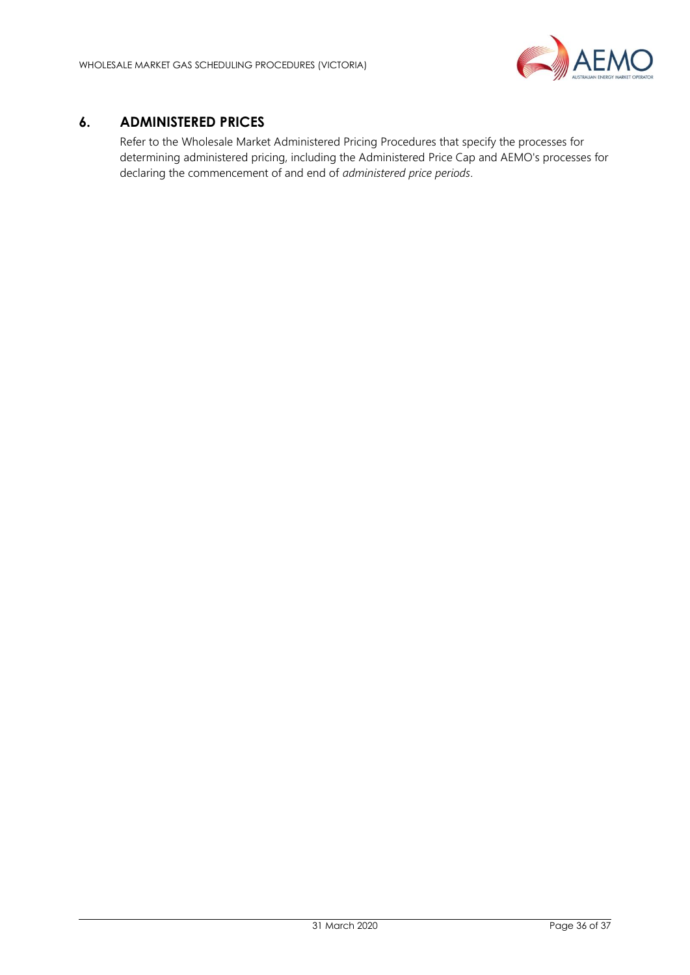

# <span id="page-35-0"></span>**6. ADMINISTERED PRICES**

Refer to the Wholesale Market Administered Pricing Procedures that specify the processes for determining administered pricing, including the Administered Price Cap and AEMO's processes for declaring the commencement of and end of *administered price periods*.